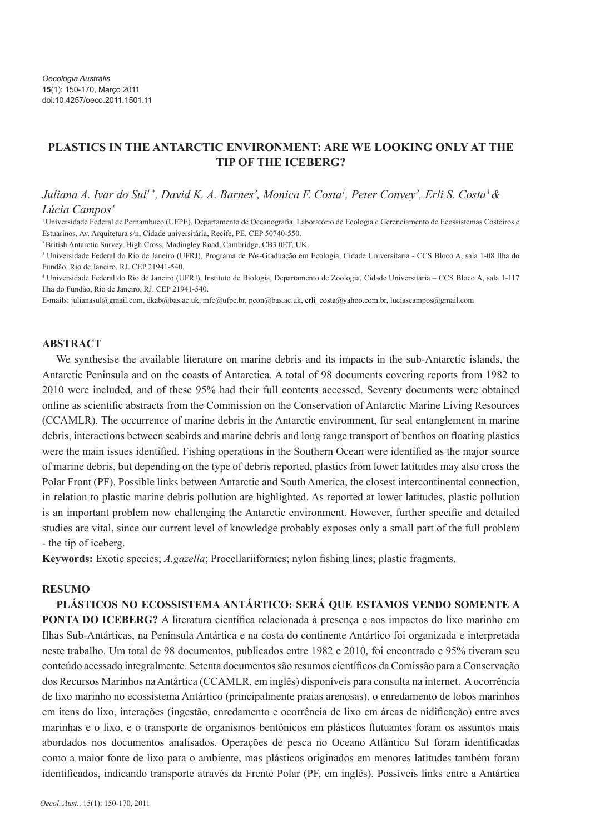# **PLASTICS IN THE ANTARCTIC ENVIRONMENT: ARE WE LOOKING ONLY AT THE TIP OF THE ICEBERG?**

*Juliana A. Ivar do Sul<sup>1</sup>\*, David K. A. Barnes<sup>2</sup>, Monica F. Costa<sup>1</sup>, Peter Convey<sup>2</sup>, Erli S. Costa<sup>3</sup> & Lúcia Campos4*

<sup>1</sup>Universidade Federal de Pernambuco (UFPE), Departamento de Oceanografia, Laboratório de Ecologia e Gerenciamento de Ecossistemas Costeiros e Estuarinos, Av. Arquitetura s/n, Cidade universitária, Recife, PE. CEP 50740-550.

<sup>2</sup>British Antarctic Survey, High Cross, Madingley Road, Cambridge, CB3 0ET, UK.

3 Universidade Federal do Rio de Janeiro (UFRJ), Programa de Pós-Graduação em Ecologia, Cidade Universitaria - CCS Bloco A, sala 1-08 Ilha do Fundão, Rio de Janeiro, RJ. CEP 21941-540.

4 Universidade Federal do Rio de Janeiro (UFRJ), Instituto de Biologia, Departamento de Zoologia, Cidade Universitária – CCS Bloco A, sala 1-117 Ilha do Fundão, Rio de Janeiro, RJ. CEP 21941-540.

E-mails: julianasul@gmail.com, dkab@bas.ac.uk, mfc@ufpe.br, pcon@bas.ac.uk, erli\_costa@yahoo.com.br, luciascampos@gmail.com

### **ABSTRACT**

We synthesise the available literature on marine debris and its impacts in the sub-Antarctic islands, the Antarctic Peninsula and on the coasts of Antarctica. A total of 98 documents covering reports from 1982 to 2010 were included, and of these 95% had their full contents accessed. Seventy documents were obtained online as scientific abstracts from the Commission on the Conservation of Antarctic Marine Living Resources (CCAMLR). The occurrence of marine debris in the Antarctic environment, fur seal entanglement in marine debris, interactions between seabirds and marine debris and long range transport of benthos on floating plastics were the main issues identified. Fishing operations in the Southern Ocean were identified as the major source of marine debris, but depending on the type of debris reported, plastics from lower latitudes may also cross the Polar Front (PF). Possible links between Antarctic and South America, the closest intercontinental connection, in relation to plastic marine debris pollution are highlighted. As reported at lower latitudes, plastic pollution is an important problem now challenging the Antarctic environment. However, further specific and detailed studies are vital, since our current level of knowledge probably exposes only a small part of the full problem - the tip of iceberg.

**Keywords:** Exotic species; *A.gazella*; Procellariiformes; nylon fishing lines; plastic fragments.

### **RESUMO**

**PLÁSTICOS NO ECOSSISTEMA ANTÁRTICO: SERÁ QUE ESTAMOS VENDO SOMENTE A PONTA DO ICEBERG?** A literatura científica relacionada à presença e aos impactos do lixo marinho em Ilhas Sub-Antárticas, na Península Antártica e na costa do continente Antártico foi organizada e interpretada neste trabalho. Um total de 98 documentos, publicados entre 1982 e 2010, foi encontrado e 95% tiveram seu conteúdo acessado integralmente. Setenta documentos são resumos científicos da Comissão para a Conservação dos Recursos Marinhos na Antártica (CCAMLR, em inglês) disponíveis para consulta na internet. A ocorrência de lixo marinho no ecossistema Antártico (principalmente praias arenosas), o enredamento de lobos marinhos em itens do lixo, interações (ingestão, enredamento e ocorrência de lixo em áreas de nidificação) entre aves marinhas e o lixo, e o transporte de organismos bentônicos em plásticos flutuantes foram os assuntos mais abordados nos documentos analisados. Operações de pesca no Oceano Atlântico Sul foram identificadas como a maior fonte de lixo para o ambiente, mas plásticos originados em menores latitudes também foram identificados, indicando transporte através da Frente Polar (PF, em inglês). Possíveis links entre a Antártica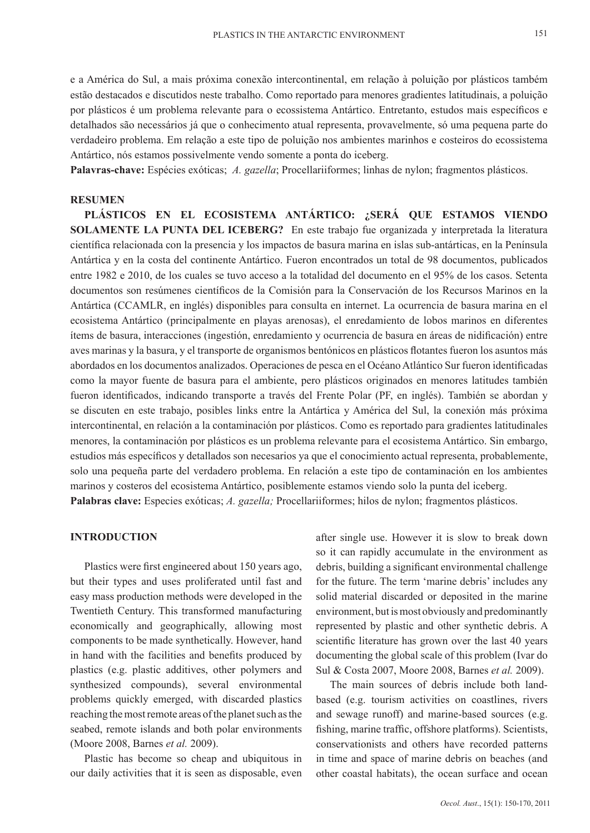e a América do Sul, a mais próxima conexão intercontinental, em relação à poluição por plásticos também estão destacados e discutidos neste trabalho. Como reportado para menores gradientes latitudinais, a poluição por plásticos é um problema relevante para o ecossistema Antártico. Entretanto, estudos mais específicos e detalhados são necessários já que o conhecimento atual representa, provavelmente, só uma pequena parte do verdadeiro problema. Em relação a este tipo de poluição nos ambientes marinhos e costeiros do ecossistema Antártico, nós estamos possivelmente vendo somente a ponta do iceberg.

**Palavras-chave:** Espécies exóticas; *A. gazella*; Procellariiformes; linhas de nylon; fragmentos plásticos.

#### **Resumen**

**Plásticos en el ecosistema antártico: ¿será que estamos viendo solamente la punta del iceberg?** En este trabajo fue organizada y interpretada la literatura científica relacionada con la presencia y los impactos de basura marina en islas sub-antárticas, en la Península Antártica y en la costa del continente Antártico. Fueron encontrados un total de 98 documentos, publicados entre 1982 e 2010, de los cuales se tuvo acceso a la totalidad del documento en el 95% de los casos. Setenta documentos son resúmenes científicos de la Comisión para la Conservación de los Recursos Marinos en la Antártica (CCAMLR, en inglés) disponibles para consulta en internet. La ocurrencia de basura marina en el ecosistema Antártico (principalmente en playas arenosas), el enredamiento de lobos marinos en diferentes ítems de basura, interacciones (ingestión, enredamiento y ocurrencia de basura en áreas de nidificación) entre aves marinas y la basura, y el transporte de organismos bentónicos en plásticos flotantes fueron los asuntos más abordados en los documentos analizados. Operaciones de pesca en el Océano Atlántico Sur fueron identificadas como la mayor fuente de basura para el ambiente, pero plásticos originados en menores latitudes también fueron identificados, indicando transporte a través del Frente Polar (PF, en inglés). También se abordan y se discuten en este trabajo, posibles links entre la Antártica y América del Sul, la conexión más próxima intercontinental, en relación a la contaminación por plásticos. Como es reportado para gradientes latitudinales menores, la contaminación por plásticos es un problema relevante para el ecosistema Antártico. Sin embargo, estudios más específicos y detallados son necesarios ya que el conocimiento actual representa, probablemente, solo una pequeña parte del verdadero problema. En relación a este tipo de contaminación en los ambientes marinos y costeros del ecosistema Antártico, posiblemente estamos viendo solo la punta del iceberg. **Palabras clave:** Especies exóticas; *A. gazella;* Procellariiformes; hilos de nylon; fragmentos plásticos.

### **INTRODUCTION**

Plastics were first engineered about 150 years ago, but their types and uses proliferated until fast and easy mass production methods were developed in the Twentieth Century. This transformed manufacturing economically and geographically, allowing most components to be made synthetically. However, hand in hand with the facilities and benefits produced by plastics (e.g. plastic additives, other polymers and synthesized compounds), several environmental problems quickly emerged, with discarded plastics reaching the most remote areas of the planet such as the seabed, remote islands and both polar environments (Moore 2008, Barnes *et al.* 2009).

Plastic has become so cheap and ubiquitous in our daily activities that it is seen as disposable, even after single use. However it is slow to break down so it can rapidly accumulate in the environment as debris, building a significant environmental challenge for the future. The term 'marine debris' includes any solid material discarded or deposited in the marine environment, but is most obviously and predominantly represented by plastic and other synthetic debris. A scientific literature has grown over the last 40 years documenting the global scale of this problem (Ivar do Sul & Costa 2007, Moore 2008, Barnes *et al.* 2009).

The main sources of debris include both landbased (e.g. tourism activities on coastlines, rivers and sewage runoff) and marine-based sources (e.g. fishing, marine traffic, offshore platforms). Scientists, conservationists and others have recorded patterns in time and space of marine debris on beaches (and other coastal habitats), the ocean surface and ocean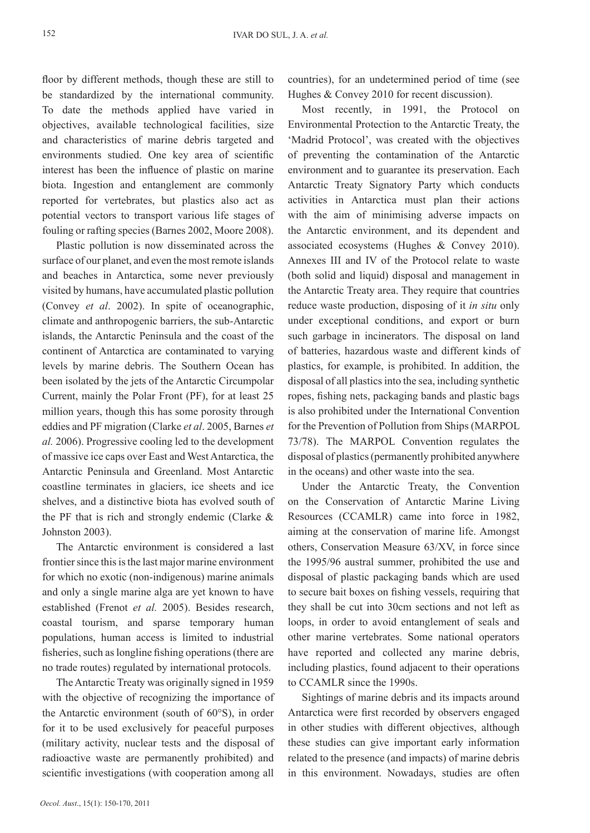floor by different methods, though these are still to be standardized by the international community. To date the methods applied have varied in objectives, available technological facilities, size and characteristics of marine debris targeted and environments studied. One key area of scientific interest has been the influence of plastic on marine biota. Ingestion and entanglement are commonly reported for vertebrates, but plastics also act as potential vectors to transport various life stages of fouling or rafting species (Barnes 2002, Moore 2008).

Plastic pollution is now disseminated across the surface of our planet, and even the most remote islands and beaches in Antarctica, some never previously visited by humans, have accumulated plastic pollution (Convey *et al*. 2002). In spite of oceanographic, climate and anthropogenic barriers, the sub-Antarctic islands, the Antarctic Peninsula and the coast of the continent of Antarctica are contaminated to varying levels by marine debris. The Southern Ocean has been isolated by the jets of the Antarctic Circumpolar Current, mainly the Polar Front (PF), for at least 25 million years, though this has some porosity through eddies and PF migration (Clarke *et al*. 2005, Barnes *et al.* 2006). Progressive cooling led to the development of massive ice caps over East and West Antarctica, the Antarctic Peninsula and Greenland. Most Antarctic coastline terminates in glaciers, ice sheets and ice shelves, and a distinctive biota has evolved south of the PF that is rich and strongly endemic (Clarke & Johnston 2003).

The Antarctic environment is considered a last frontier since this is the last major marine environment for which no exotic (non-indigenous) marine animals and only a single marine alga are yet known to have established (Frenot *et al.* 2005). Besides research, coastal tourism, and sparse temporary human populations, human access is limited to industrial fisheries, such as longline fishing operations (there are no trade routes) regulated by international protocols.

The Antarctic Treaty was originally signed in 1959 with the objective of recognizing the importance of the Antarctic environment (south of 60°S), in order for it to be used exclusively for peaceful purposes (military activity, nuclear tests and the disposal of radioactive waste are permanently prohibited) and scientific investigations (with cooperation among all

countries), for an undetermined period of time (see Hughes & Convey 2010 for recent discussion).

Most recently, in 1991, the Protocol on Environmental Protection to the Antarctic Treaty, the 'Madrid Protocol', was created with the objectives of preventing the contamination of the Antarctic environment and to guarantee its preservation. Each Antarctic Treaty Signatory Party which conducts activities in Antarctica must plan their actions with the aim of minimising adverse impacts on the Antarctic environment, and its dependent and associated ecosystems (Hughes & Convey 2010). Annexes III and IV of the Protocol relate to waste (both solid and liquid) disposal and management in the Antarctic Treaty area. They require that countries reduce waste production, disposing of it *in situ* only under exceptional conditions, and export or burn such garbage in incinerators. The disposal on land of batteries, hazardous waste and different kinds of plastics, for example, is prohibited. In addition, the disposal of all plastics into the sea, including synthetic ropes, fishing nets, packaging bands and plastic bags is also prohibited under the International Convention for the Prevention of Pollution from Ships (MARPOL 73/78). The MARPOL Convention regulates the disposal of plastics (permanently prohibited anywhere in the oceans) and other waste into the sea.

Under the Antarctic Treaty, the Convention on the Conservation of Antarctic Marine Living Resources (CCAMLR) came into force in 1982, aiming at the conservation of marine life. Amongst others, Conservation Measure 63/XV, in force since the 1995/96 austral summer, prohibited the use and disposal of plastic packaging bands which are used to secure bait boxes on fishing vessels, requiring that they shall be cut into 30cm sections and not left as loops, in order to avoid entanglement of seals and other marine vertebrates. Some national operators have reported and collected any marine debris, including plastics, found adjacent to their operations to CCAMLR since the 1990s.

Sightings of marine debris and its impacts around Antarctica were first recorded by observers engaged in other studies with different objectives, although these studies can give important early information related to the presence (and impacts) of marine debris in this environment. Nowadays, studies are often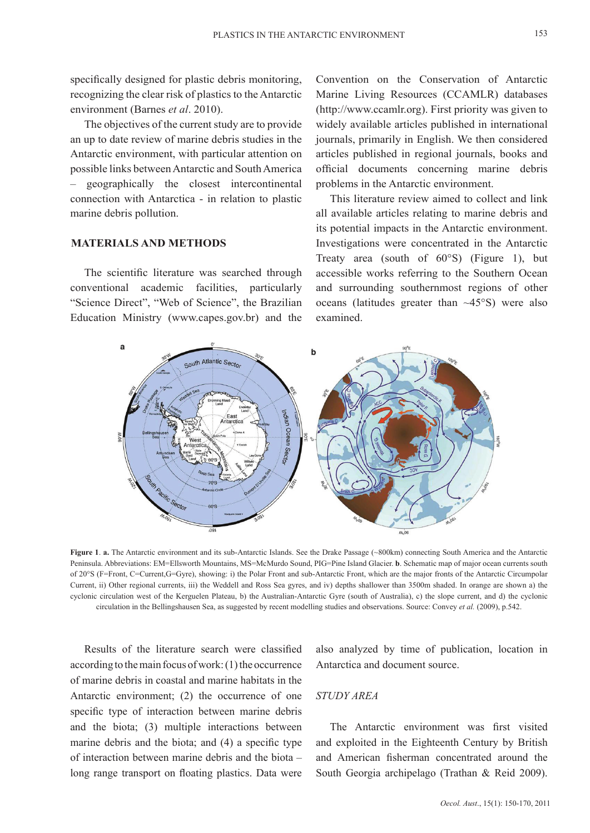153

specifically designed for plastic debris monitoring, recognizing the clear risk of plastics to the Antarctic environment (Barnes *et al*. 2010).

The objectives of the current study are to provide an up to date review of marine debris studies in the Antarctic environment, with particular attention on possible links between Antarctic and South America – geographically the closest intercontinental connection with Antarctica - in relation to plastic marine debris pollution.

### **MATERIALS AND METHODS**

The scientific literature was searched through conventional academic facilities, particularly "Science Direct", "Web of Science", the Brazilian Education Ministry (www.capes.gov.br) and the

Convention on the Conservation of Antarctic Marine Living Resources (CCAMLR) databases (http://www.ccamlr.org). First priority was given to widely available articles published in international journals, primarily in English. We then considered articles published in regional journals, books and official documents concerning marine debris problems in the Antarctic environment.

This literature review aimed to collect and link all available articles relating to marine debris and its potential impacts in the Antarctic environment. Investigations were concentrated in the Antarctic Treaty area (south of 60°S) (Figure 1), but accessible works referring to the Southern Ocean and surrounding southernmost regions of other oceans (latitudes greater than  $\sim$ 45°S) were also examined.



**Figure 1**. **a.** The Antarctic environment and its sub-Antarctic Islands. See the Drake Passage (~800km) connecting South America and the Antarctic Peninsula. Abbreviations: EM=Ellsworth Mountains, MS=McMurdo Sound, PIG=Pine Island Glacier. **b**. Schematic map of major ocean currents south of 20°S (F=Front, C=Current,G=Gyre), showing: i) the Polar Front and sub-Antarctic Front, which are the major fronts of the Antarctic Circumpolar Current, ii) Other regional currents, iii) the Weddell and Ross Sea gyres, and iv) depths shallower than 3500m shaded. In orange are shown a) the cyclonic circulation west of the Kerguelen Plateau, b) the Australian-Antarctic Gyre (south of Australia), c) the slope current, and d) the cyclonic circulation in the Bellingshausen Sea, as suggested by recent modelling studies and observations. Source: Convey *et al.* (2009), p.542.

Results of the literature search were classified according to the main focus of work: (1) the occurrence of marine debris in coastal and marine habitats in the Antarctic environment; (2) the occurrence of one specific type of interaction between marine debris and the biota; (3) multiple interactions between marine debris and the biota; and (4) a specific type of interaction between marine debris and the biota – long range transport on floating plastics. Data were

also analyzed by time of publication, location in Antarctica and document source.

#### *STUDY AREA*

The Antarctic environment was first visited and exploited in the Eighteenth Century by British and American fisherman concentrated around the South Georgia archipelago (Trathan & Reid 2009).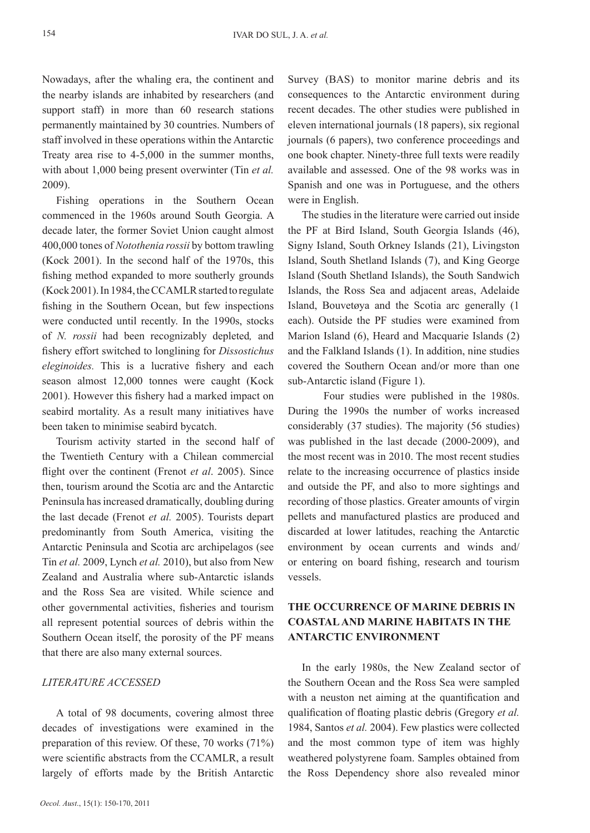Nowadays, after the whaling era, the continent and the nearby islands are inhabited by researchers (and support staff) in more than 60 research stations permanently maintained by 30 countries. Numbers of staff involved in these operations within the Antarctic Treaty area rise to 4-5,000 in the summer months, with about 1,000 being present overwinter (Tin *et al.* 2009).

Fishing operations in the Southern Ocean commenced in the 1960s around South Georgia. A decade later, the former Soviet Union caught almost 400,000 tones of *Notothenia rossii* by bottom trawling (Kock 2001). In the second half of the 1970s, this fishing method expanded to more southerly grounds (Kock 2001). In 1984, the CCAMLR started to regulate fishing in the Southern Ocean, but few inspections were conducted until recently. In the 1990s, stocks of *N. rossii* had been recognizably depleted*,* and fishery effort switched to longlining for *Dissostichus eleginoides.* This is a lucrative fishery and each season almost 12,000 tonnes were caught (Kock 2001). However this fishery had a marked impact on seabird mortality. As a result many initiatives have been taken to minimise seabird bycatch.

Tourism activity started in the second half of the Twentieth Century with a Chilean commercial flight over the continent (Frenot *et al*. 2005). Since then, tourism around the Scotia arc and the Antarctic Peninsula has increased dramatically, doubling during the last decade (Frenot *et al.* 2005). Tourists depart predominantly from South America, visiting the Antarctic Peninsula and Scotia arc archipelagos (see Tin *et al.* 2009, Lynch *et al.* 2010), but also from New Zealand and Australia where sub-Antarctic islands and the Ross Sea are visited. While science and other governmental activities, fisheries and tourism all represent potential sources of debris within the Southern Ocean itself, the porosity of the PF means that there are also many external sources.

#### *LITERATURE ACCESSED*

A total of 98 documents, covering almost three decades of investigations were examined in the preparation of this review. Of these, 70 works (71%) were scientific abstracts from the CCAMLR, a result largely of efforts made by the British Antarctic

Survey (BAS) to monitor marine debris and its consequences to the Antarctic environment during recent decades. The other studies were published in eleven international journals (18 papers), six regional journals (6 papers), two conference proceedings and one book chapter. Ninety-three full texts were readily available and assessed. One of the 98 works was in Spanish and one was in Portuguese, and the others were in English.

The studies in the literature were carried out inside the PF at Bird Island, South Georgia Islands (46), Signy Island, South Orkney Islands (21), Livingston Island, South Shetland Islands (7), and King George Island (South Shetland Islands), the South Sandwich Islands, the Ross Sea and adjacent areas, Adelaide Island, Bouvetøya and the Scotia arc generally (1 each). Outside the PF studies were examined from Marion Island (6), Heard and Macquarie Islands (2) and the Falkland Islands (1). In addition, nine studies covered the Southern Ocean and/or more than one sub-Antarctic island (Figure 1).

Four studies were published in the 1980s. During the 1990s the number of works increased considerably (37 studies). The majority (56 studies) was published in the last decade (2000-2009), and the most recent was in 2010. The most recent studies relate to the increasing occurrence of plastics inside and outside the PF, and also to more sightings and recording of those plastics. Greater amounts of virgin pellets and manufactured plastics are produced and discarded at lower latitudes, reaching the Antarctic environment by ocean currents and winds and/ or entering on board fishing, research and tourism vessels.

# **The occurrence of marine debris in coastaland marine habitats in the Antarctic environment**

In the early 1980s, the New Zealand sector of the Southern Ocean and the Ross Sea were sampled with a neuston net aiming at the quantification and qualification of floating plastic debris (Gregory *et al.* 1984, Santos *et al.* 2004). Few plastics were collected and the most common type of item was highly weathered polystyrene foam. Samples obtained from the Ross Dependency shore also revealed minor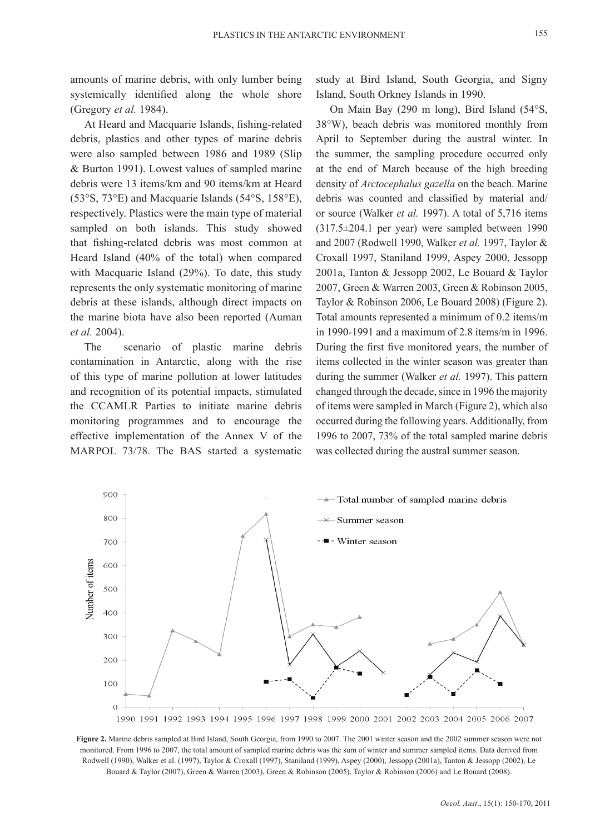amounts of marine debris, with only lumber being systemically identified along the whole shore (Gregory *et al.* 1984).

At Heard and Macquarie Islands, fishing-related debris, plastics and other types of marine debris were also sampled between 1986 and 1989 (Slip & Burton 1991). Lowest values of sampled marine debris were 13 items/km and 90 items/km at Heard (53°S, 73°E) and Macquarie Islands (54°S, 158°E), respectively. Plastics were the main type of material sampled on both islands. This study showed that fishing-related debris was most common at Heard Island (40% of the total) when compared with Macquarie Island (29%). To date, this study represents the only systematic monitoring of marine debris at these islands, although direct impacts on the marine biota have also been reported (Auman *et al.* 2004).

The scenario of plastic marine debris contamination in Antarctic, along with the rise of this type of marine pollution at lower latitudes and recognition of its potential impacts, stimulated the CCAMLR Parties to initiate marine debris monitoring programmes and to encourage the effective implementation of the Annex V of the MARPOL 73/78. The BAS started a systematic study at Bird Island, South Georgia, and Signy Island, South Orkney Islands in 1990.

On Main Bay (290 m long), Bird Island (54°S, 38°W), beach debris was monitored monthly from April to September during the austral winter. In the summer, the sampling procedure occurred only at the end of March because of the high breeding density of *Arctocephalus gazella* on the beach. Marine debris was counted and classified by material and/ or source (Walker *et al.* 1997). A total of 5,716 items (317.5±204.1 per year) were sampled between 1990 and 2007 (Rodwell 1990, Walker *et al.* 1997, Taylor & Croxall 1997, Staniland 1999, Aspey 2000, Jessopp 2001a, Tanton & Jessopp 2002, Le Bouard & Taylor 2007, Green & Warren 2003, Green & Robinson 2005, Taylor & Robinson 2006, Le Bouard 2008) (Figure 2). Total amounts represented a minimum of 0.2 items/m in 1990-1991 and a maximum of 2.8 items/m in 1996. During the first five monitored years, the number of items collected in the winter season was greater than during the summer (Walker *et al.* 1997). This pattern changed through the decade, since in 1996 the majority of items were sampled in March (Figure 2), which also occurred during the following years. Additionally, from 1996 to 2007, 73% of the total sampled marine debris was collected during the austral summer season.



**Figure 2.** Marine debris sampled at Bird Island, South Georgia, from 1990 to 2007. The 2001 winter season and the 2002 summer season were not monitored. From 1996 to 2007, the total amount of sampled marine debris was the sum of winter and summer sampled items. Data derived from Rodwell (1990), Walker et al. (1997), Taylor & Croxall (1997), Staniland (1999), Aspey (2000), Jessopp (2001a), Tanton & Jessopp (2002), Le Bouard & Taylor (2007), Green & Warren (2003), Green & Robinson (2005), Taylor & Robinson (2006) and Le Bouard (2008).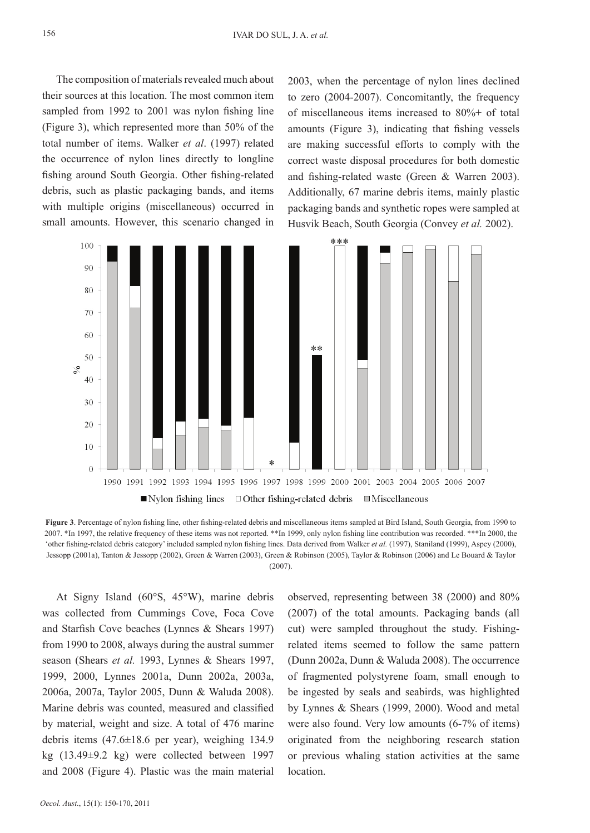The composition of materials revealed much about their sources at this location. The most common item sampled from 1992 to 2001 was nylon fishing line (Figure 3), which represented more than 50% of the total number of items. Walker *et al*. (1997) related the occurrence of nylon lines directly to longline fishing around South Georgia. Other fishing-related debris, such as plastic packaging bands, and items with multiple origins (miscellaneous) occurred in small amounts. However, this scenario changed in

2003, when the percentage of nylon lines declined to zero (2004-2007). Concomitantly, the frequency of miscellaneous items increased to 80%+ of total amounts (Figure 3), indicating that fishing vessels are making successful efforts to comply with the correct waste disposal procedures for both domestic and fishing-related waste (Green & Warren 2003). Additionally, 67 marine debris items, mainly plastic packaging bands and synthetic ropes were sampled at Husvik Beach, South Georgia (Convey *et al.* 2002).



**Figure 3**. Percentage of nylon fishing line, other fishing-related debris and miscellaneous items sampled at Bird Island, South Georgia, from 1990 to 2007. \*In 1997, the relative frequency of these items was not reported. \*\*In 1999, only nylon fishing line contribution was recorded. \*\*\*In 2000, the 'other fishing-related debris category' included sampled nylon fishing lines. Data derived from Walker *et al.* (1997), Staniland (1999), Aspey (2000), Jessopp (2001a), Tanton & Jessopp (2002), Green & Warren (2003), Green & Robinson (2005), Taylor & Robinson (2006) and Le Bouard & Taylor  $(2007)$ 

At Signy Island (60°S, 45°W), marine debris was collected from Cummings Cove, Foca Cove and Starfish Cove beaches (Lynnes & Shears 1997) from 1990 to 2008, always during the austral summer season (Shears *et al.* 1993, Lynnes & Shears 1997, 1999, 2000, Lynnes 2001a, Dunn 2002a, 2003a, 2006a, 2007a, Taylor 2005, Dunn & Waluda 2008). Marine debris was counted, measured and classified by material, weight and size. A total of 476 marine debris items (47.6±18.6 per year), weighing 134.9 kg (13.49±9.2 kg) were collected between 1997 and 2008 (Figure 4). Plastic was the main material

observed, representing between 38 (2000) and 80% (2007) of the total amounts. Packaging bands (all cut) were sampled throughout the study. Fishingrelated items seemed to follow the same pattern (Dunn 2002a, Dunn & Waluda 2008). The occurrence of fragmented polystyrene foam, small enough to be ingested by seals and seabirds, was highlighted by Lynnes & Shears (1999, 2000). Wood and metal were also found. Very low amounts (6-7% of items) originated from the neighboring research station or previous whaling station activities at the same location.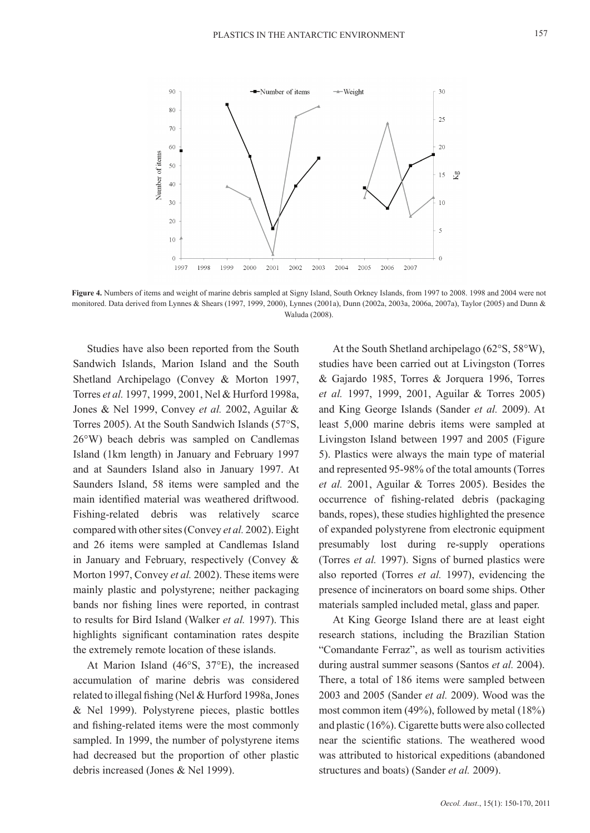

**Figure 4.** Numbers of items and weight of marine debris sampled at Signy Island, South Orkney Islands, from 1997 to 2008. 1998 and 2004 were not monitored. Data derived from Lynnes & Shears (1997, 1999, 2000), Lynnes (2001a), Dunn (2002a, 2003a, 2006a, 2007a), Taylor (2005) and Dunn & Waluda (2008).

Studies have also been reported from the South Sandwich Islands, Marion Island and the South Shetland Archipelago (Convey & Morton 1997, Torres *et al.* 1997, 1999, 2001, Nel & Hurford 1998a, Jones & Nel 1999, Convey *et al.* 2002, Aguilar & Torres 2005). At the South Sandwich Islands (57°S, 26°W) beach debris was sampled on Candlemas Island (1km length) in January and February 1997 and at Saunders Island also in January 1997. At Saunders Island, 58 items were sampled and the main identified material was weathered driftwood. Fishing-related debris was relatively scarce compared with other sites (Convey *et al.* 2002). Eight and 26 items were sampled at Candlemas Island in January and February, respectively (Convey & Morton 1997, Convey *et al.* 2002). These items were mainly plastic and polystyrene; neither packaging bands nor fishing lines were reported, in contrast to results for Bird Island (Walker *et al.* 1997). This highlights significant contamination rates despite the extremely remote location of these islands.

At Marion Island (46°S, 37°E), the increased accumulation of marine debris was considered related to illegal fishing (Nel & Hurford 1998a, Jones & Nel 1999). Polystyrene pieces, plastic bottles and fishing-related items were the most commonly sampled. In 1999, the number of polystyrene items had decreased but the proportion of other plastic debris increased (Jones & Nel 1999).

At the South Shetland archipelago (62°S, 58°W), studies have been carried out at Livingston (Torres & Gajardo 1985, Torres & Jorquera 1996, Torres *et al.* 1997, 1999, 2001, Aguilar & Torres 2005) and King George Islands (Sander *et al.* 2009). At least 5,000 marine debris items were sampled at Livingston Island between 1997 and 2005 (Figure 5). Plastics were always the main type of material and represented 95-98% of the total amounts (Torres *et al.* 2001, Aguilar & Torres 2005). Besides the occurrence of fishing-related debris (packaging bands, ropes), these studies highlighted the presence of expanded polystyrene from electronic equipment presumably lost during re-supply operations (Torres *et al.* 1997). Signs of burned plastics were also reported (Torres *et al.* 1997), evidencing the presence of incinerators on board some ships. Other materials sampled included metal, glass and paper.

At King George Island there are at least eight research stations, including the Brazilian Station "Comandante Ferraz", as well as tourism activities during austral summer seasons (Santos *et al.* 2004). There, a total of 186 items were sampled between 2003 and 2005 (Sander *et al.* 2009). Wood was the most common item (49%), followed by metal (18%) and plastic (16%). Cigarette butts were also collected near the scientific stations. The weathered wood was attributed to historical expeditions (abandoned structures and boats) (Sander *et al.* 2009).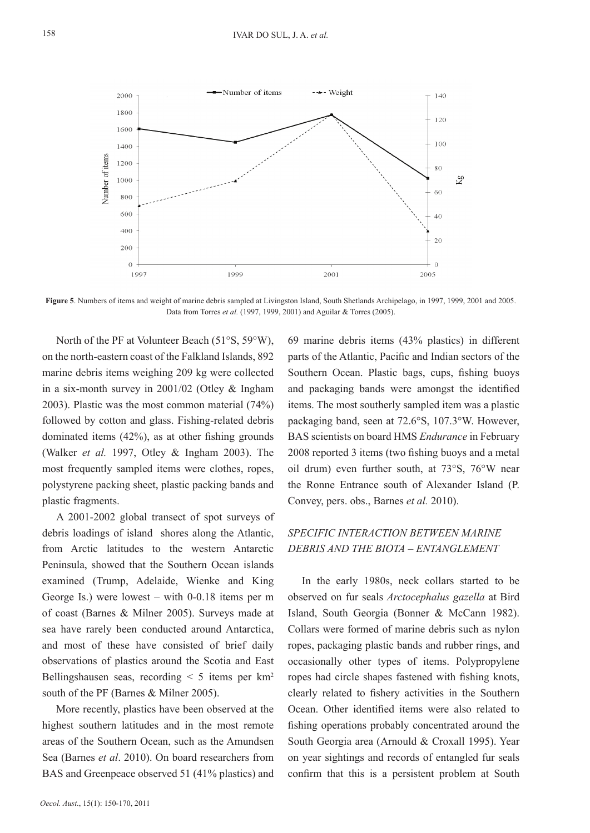

**Figure 5**. Numbers of items and weight of marine debris sampled at Livingston Island, South Shetlands Archipelago, in 1997, 1999, 2001 and 2005. Data from Torres *et al.* (1997, 1999, 2001) and Aguilar & Torres (2005).

North of the PF at Volunteer Beach (51°S, 59°W), on the north-eastern coast of the Falkland Islands, 892 marine debris items weighing 209 kg were collected in a six-month survey in 2001/02 (Otley & Ingham 2003). Plastic was the most common material (74%) followed by cotton and glass. Fishing-related debris dominated items (42%), as at other fishing grounds (Walker *et al.* 1997, Otley & Ingham 2003). The most frequently sampled items were clothes, ropes, polystyrene packing sheet, plastic packing bands and plastic fragments.

A 2001-2002 global transect of spot surveys of debris loadings of island shores along the Atlantic, from Arctic latitudes to the western Antarctic Peninsula, showed that the Southern Ocean islands examined (Trump, Adelaide, Wienke and King George Is.) were lowest – with 0-0.18 items per m of coast (Barnes & Milner 2005). Surveys made at sea have rarely been conducted around Antarctica, and most of these have consisted of brief daily observations of plastics around the Scotia and East Bellingshausen seas, recording  $\leq 5$  items per km<sup>2</sup> south of the PF (Barnes & Milner 2005).

More recently, plastics have been observed at the highest southern latitudes and in the most remote areas of the Southern Ocean, such as the Amundsen Sea (Barnes *et al*. 2010). On board researchers from BAS and Greenpeace observed 51 (41% plastics) and

69 marine debris items (43% plastics) in different parts of the Atlantic, Pacific and Indian sectors of the Southern Ocean. Plastic bags, cups, fishing buoys and packaging bands were amongst the identified items. The most southerly sampled item was a plastic packaging band, seen at 72.6°S, 107.3°W. However, BAS scientists on board HMS *Endurance* in February 2008 reported 3 items (two fishing buoys and a metal oil drum) even further south, at 73°S, 76°W near the Ronne Entrance south of Alexander Island (P. Convey, pers. obs., Barnes *et al.* 2010).

## *SPECIFIC INTERACTION BETWEEN MARINE DEBRIS AND THE BIOTA – ENTANGLEMENT*

In the early 1980s, neck collars started to be observed on fur seals *Arctocephalus gazella* at Bird Island, South Georgia (Bonner & McCann 1982). Collars were formed of marine debris such as nylon ropes, packaging plastic bands and rubber rings, and occasionally other types of items. Polypropylene ropes had circle shapes fastened with fishing knots, clearly related to fishery activities in the Southern Ocean. Other identified items were also related to fishing operations probably concentrated around the South Georgia area (Arnould & Croxall 1995). Year on year sightings and records of entangled fur seals confirm that this is a persistent problem at South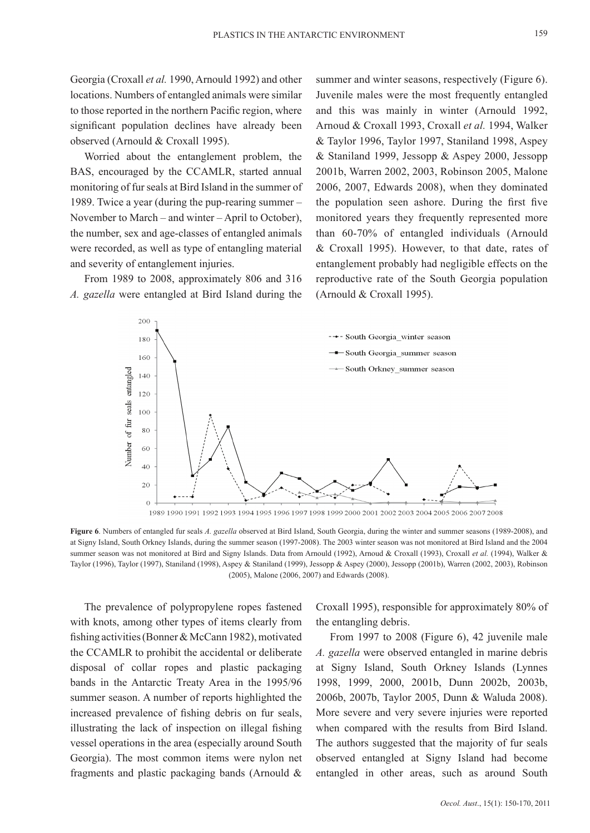Georgia (Croxall *et al.* 1990, Arnould 1992) and other locations. Numbers of entangled animals were similar to those reported in the northern Pacific region, where significant population declines have already been observed (Arnould & Croxall 1995).

Worried about the entanglement problem, the BAS, encouraged by the CCAMLR, started annual monitoring of fur seals at Bird Island in the summer of 1989. Twice a year (during the pup-rearing summer – November to March – and winter – April to October), the number, sex and age-classes of entangled animals were recorded, as well as type of entangling material and severity of entanglement injuries.

From 1989 to 2008, approximately 806 and 316 *A. gazella* were entangled at Bird Island during the summer and winter seasons, respectively (Figure 6). Juvenile males were the most frequently entangled and this was mainly in winter (Arnould 1992, Arnoud & Croxall 1993, Croxall *et al.* 1994, Walker & Taylor 1996, Taylor 1997, Staniland 1998, Aspey & Staniland 1999, Jessopp & Aspey 2000, Jessopp 2001b, Warren 2002, 2003, Robinson 2005, Malone 2006, 2007, Edwards 2008), when they dominated the population seen ashore. During the first five monitored years they frequently represented more than 60-70% of entangled individuals (Arnould & Croxall 1995). However, to that date, rates of entanglement probably had negligible effects on the reproductive rate of the South Georgia population (Arnould & Croxall 1995).



1989 1990 1991 1992 1993 1994 1995 1996 1997 1998 1999 2000 2001 2002 2003 2004 2005 2006 2007 2008

**Figure 6**. Numbers of entangled fur seals *A. gazella* observed at Bird Island, South Georgia, during the winter and summer seasons (1989-2008), and at Signy Island, South Orkney Islands, during the summer season (1997-2008). The 2003 winter season was not monitored at Bird Island and the 2004 summer season was not monitored at Bird and Signy Islands. Data from Arnould (1992), Arnoud & Croxall (1993), Croxall *et al.* (1994), Walker & Taylor (1996), Taylor (1997), Staniland (1998), Aspey & Staniland (1999), Jessopp & Aspey (2000), Jessopp (2001b), Warren (2002, 2003), Robinson (2005), Malone (2006, 2007) and Edwards (2008).

The prevalence of polypropylene ropes fastened with knots, among other types of items clearly from fishing activities (Bonner & McCann 1982), motivated the CCAMLR to prohibit the accidental or deliberate disposal of collar ropes and plastic packaging bands in the Antarctic Treaty Area in the 1995/96 summer season. A number of reports highlighted the increased prevalence of fishing debris on fur seals, illustrating the lack of inspection on illegal fishing vessel operations in the area (especially around South Georgia). The most common items were nylon net fragments and plastic packaging bands (Arnould &

Croxall 1995), responsible for approximately 80% of the entangling debris.

From 1997 to 2008 (Figure 6), 42 juvenile male *A. gazella* were observed entangled in marine debris at Signy Island, South Orkney Islands (Lynnes 1998, 1999, 2000, 2001b, Dunn 2002b, 2003b, 2006b, 2007b, Taylor 2005, Dunn & Waluda 2008). More severe and very severe injuries were reported when compared with the results from Bird Island. The authors suggested that the majority of fur seals observed entangled at Signy Island had become entangled in other areas, such as around South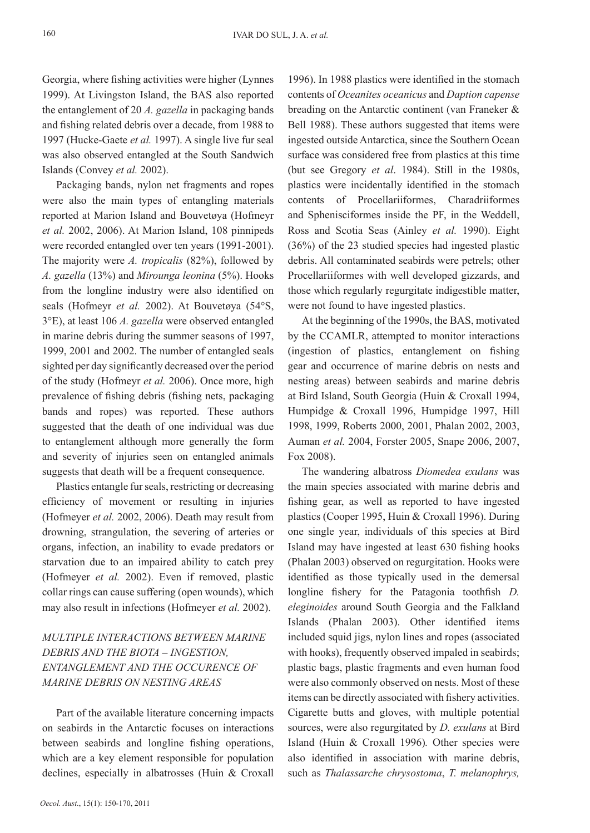Georgia, where fishing activities were higher (Lynnes 1999). At Livingston Island, the BAS also reported the entanglement of 20 *A. gazella* in packaging bands and fishing related debris over a decade, from 1988 to 1997 (Hucke-Gaete *et al.* 1997). A single live fur seal was also observed entangled at the South Sandwich Islands (Convey *et al.* 2002).

Packaging bands, nylon net fragments and ropes were also the main types of entangling materials reported at Marion Island and Bouvetøya (Hofmeyr *et al.* 2002, 2006). At Marion Island, 108 pinnipeds were recorded entangled over ten years (1991-2001). The majority were *A. tropicalis* (82%), followed by *A. gazella* (13%) and *Mirounga leonina* (5%). Hooks from the longline industry were also identified on seals (Hofmeyr *et al.* 2002). At Bouvetøya (54°S, 3°E), at least 106 *A. gazella* were observed entangled in marine debris during the summer seasons of 1997, 1999, 2001 and 2002. The number of entangled seals sighted per day significantly decreased over the period of the study (Hofmeyr *et al.* 2006). Once more, high prevalence of fishing debris (fishing nets, packaging bands and ropes) was reported. These authors suggested that the death of one individual was due to entanglement although more generally the form and severity of injuries seen on entangled animals suggests that death will be a frequent consequence.

Plastics entangle fur seals, restricting or decreasing efficiency of movement or resulting in injuries (Hofmeyer *et al.* 2002, 2006). Death may result from drowning, strangulation, the severing of arteries or organs, infection, an inability to evade predators or starvation due to an impaired ability to catch prey (Hofmeyer *et al.* 2002). Even if removed, plastic collar rings can cause suffering (open wounds), which may also result in infections (Hofmeyer *et al.* 2002).

# *MULTIPLE INTERACTIONS BETWEEN MARINE DEBRIS AND THE BIOTA – INGESTION, ENTANGLEMENT AND THE OCCURENCE OF MARINE DEBRIS ON NESTING AREAS*

Part of the available literature concerning impacts on seabirds in the Antarctic focuses on interactions between seabirds and longline fishing operations, which are a key element responsible for population declines, especially in albatrosses (Huin & Croxall

1996). In 1988 plastics were identified in the stomach contents of *Oceanites oceanicus* and *Daption capense* breading on the Antarctic continent (van Franeker & Bell 1988). These authors suggested that items were ingested outside Antarctica, since the Southern Ocean surface was considered free from plastics at this time (but see Gregory *et al*. 1984). Still in the 1980s, plastics were incidentally identified in the stomach contents of Procellariiformes, Charadriiformes and Sphenisciformes inside the PF, in the Weddell, Ross and Scotia Seas (Ainley *et al.* 1990). Eight (36%) of the 23 studied species had ingested plastic debris. All contaminated seabirds were petrels; other Procellariiformes with well developed gizzards, and those which regularly regurgitate indigestible matter, were not found to have ingested plastics.

At the beginning of the 1990s, the BAS, motivated by the CCAMLR, attempted to monitor interactions (ingestion of plastics, entanglement on fishing gear and occurrence of marine debris on nests and nesting areas) between seabirds and marine debris at Bird Island, South Georgia (Huin & Croxall 1994, Humpidge & Croxall 1996, Humpidge 1997, Hill 1998, 1999, Roberts 2000, 2001, Phalan 2002, 2003, Auman *et al.* 2004, Forster 2005, Snape 2006, 2007, Fox 2008).

The wandering albatross *Diomedea exulans* was the main species associated with marine debris and fishing gear, as well as reported to have ingested plastics (Cooper 1995, Huin & Croxall 1996). During one single year, individuals of this species at Bird Island may have ingested at least 630 fishing hooks (Phalan 2003) observed on regurgitation. Hooks were identified as those typically used in the demersal longline fishery for the Patagonia toothfish *D. eleginoides* around South Georgia and the Falkland Islands (Phalan 2003). Other identified items included squid jigs, nylon lines and ropes (associated with hooks), frequently observed impaled in seabirds; plastic bags, plastic fragments and even human food were also commonly observed on nests. Most of these items can be directly associated with fishery activities. Cigarette butts and gloves, with multiple potential sources, were also regurgitated by *D. exulans* at Bird Island (Huin & Croxall 1996)*.* Other species were also identified in association with marine debris, such as *Thalassarche chrysostoma*, *T. melanophrys,*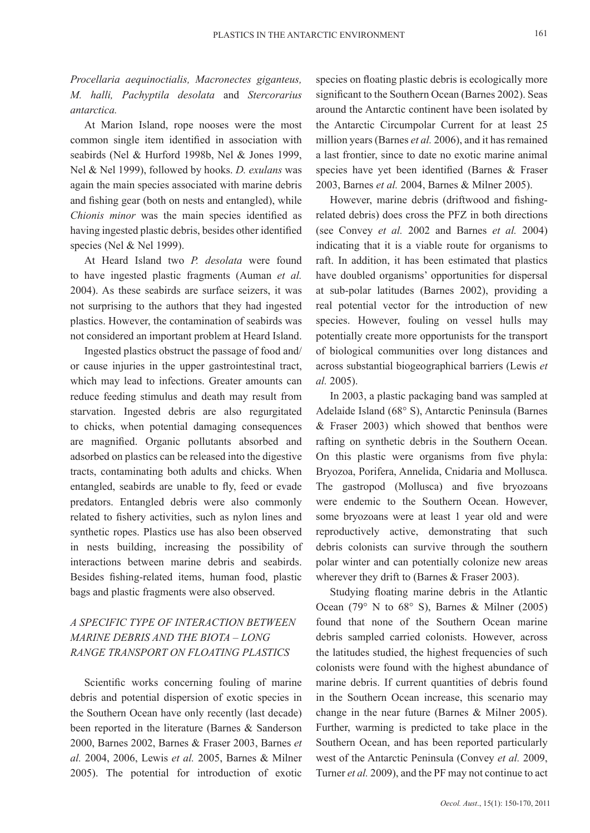*Procellaria aequinoctialis, Macronectes giganteus, M. halli, Pachyptila desolata* and *Stercorarius antarctica.* 

At Marion Island, rope nooses were the most common single item identified in association with seabirds (Nel & Hurford 1998b, Nel & Jones 1999, Nel & Nel 1999), followed by hooks. *D. exulans* was again the main species associated with marine debris and fishing gear (both on nests and entangled), while *Chionis minor* was the main species identified as having ingested plastic debris, besides other identified species (Nel & Nel 1999).

At Heard Island two *P. desolata* were found to have ingested plastic fragments (Auman *et al.* 2004). As these seabirds are surface seizers, it was not surprising to the authors that they had ingested plastics. However, the contamination of seabirds was not considered an important problem at Heard Island.

Ingested plastics obstruct the passage of food and/ or cause injuries in the upper gastrointestinal tract, which may lead to infections. Greater amounts can reduce feeding stimulus and death may result from starvation. Ingested debris are also regurgitated to chicks, when potential damaging consequences are magnified. Organic pollutants absorbed and adsorbed on plastics can be released into the digestive tracts, contaminating both adults and chicks. When entangled, seabirds are unable to fly, feed or evade predators. Entangled debris were also commonly related to fishery activities, such as nylon lines and synthetic ropes. Plastics use has also been observed in nests building, increasing the possibility of interactions between marine debris and seabirds. Besides fishing-related items, human food, plastic bags and plastic fragments were also observed.

# *A SPECIFIC TYPE OF INTERACTION BETWEEN MARINE DEBRIS AND THE BIOTA – LONG RANGE TRANSPORT ON FLOATING PLASTICS*

Scientific works concerning fouling of marine debris and potential dispersion of exotic species in the Southern Ocean have only recently (last decade) been reported in the literature (Barnes & Sanderson 2000, Barnes 2002, Barnes & Fraser 2003, Barnes *et al.* 2004, 2006, Lewis *et al.* 2005, Barnes & Milner 2005). The potential for introduction of exotic

species on floating plastic debris is ecologically more significant to the Southern Ocean (Barnes 2002). Seas around the Antarctic continent have been isolated by the Antarctic Circumpolar Current for at least 25 million years (Barnes *et al.* 2006), and it has remained a last frontier, since to date no exotic marine animal species have yet been identified (Barnes & Fraser 2003, Barnes *et al.* 2004, Barnes & Milner 2005).

However, marine debris (driftwood and fishingrelated debris) does cross the PFZ in both directions (see Convey *et al.* 2002 and Barnes *et al.* 2004) indicating that it is a viable route for organisms to raft. In addition, it has been estimated that plastics have doubled organisms' opportunities for dispersal at sub-polar latitudes (Barnes 2002), providing a real potential vector for the introduction of new species. However, fouling on vessel hulls may potentially create more opportunists for the transport of biological communities over long distances and across substantial biogeographical barriers (Lewis *et al.* 2005).

In 2003, a plastic packaging band was sampled at Adelaide Island (68° S), Antarctic Peninsula (Barnes & Fraser 2003) which showed that benthos were rafting on synthetic debris in the Southern Ocean. On this plastic were organisms from five phyla: Bryozoa, Porifera, Annelida, Cnidaria and Mollusca. The gastropod (Mollusca) and five bryozoans were endemic to the Southern Ocean. However, some bryozoans were at least 1 year old and were reproductively active, demonstrating that such debris colonists can survive through the southern polar winter and can potentially colonize new areas wherever they drift to (Barnes & Fraser 2003).

Studying floating marine debris in the Atlantic Ocean (79 $\degree$  N to 68 $\degree$  S), Barnes & Milner (2005) found that none of the Southern Ocean marine debris sampled carried colonists. However, across the latitudes studied, the highest frequencies of such colonists were found with the highest abundance of marine debris. If current quantities of debris found in the Southern Ocean increase, this scenario may change in the near future (Barnes & Milner 2005). Further, warming is predicted to take place in the Southern Ocean, and has been reported particularly west of the Antarctic Peninsula (Convey *et al.* 2009, Turner *et al.* 2009), and the PF may not continue to act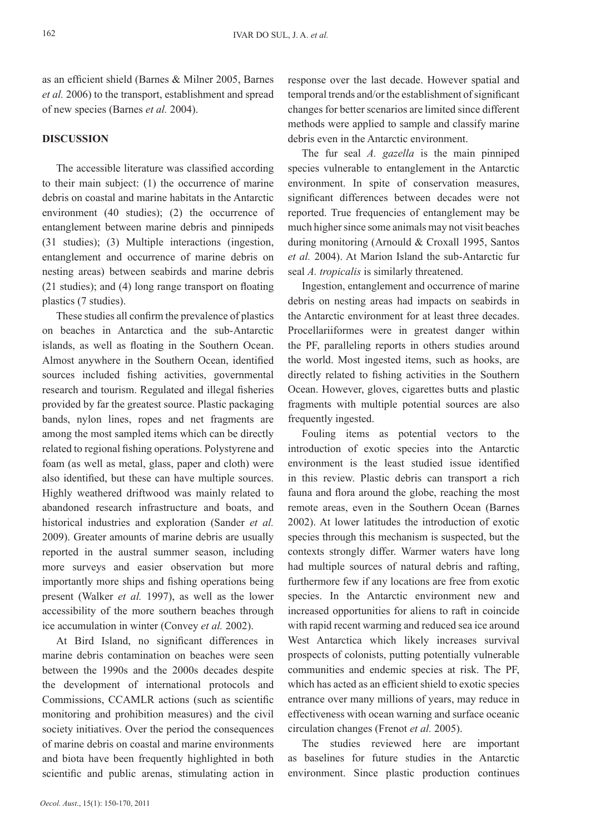as an efficient shield (Barnes & Milner 2005, Barnes *et al.* 2006) to the transport, establishment and spread of new species (Barnes *et al.* 2004).

### **DISCUSSION**

The accessible literature was classified according to their main subject: (1) the occurrence of marine debris on coastal and marine habitats in the Antarctic environment (40 studies); (2) the occurrence of entanglement between marine debris and pinnipeds (31 studies); (3) Multiple interactions (ingestion, entanglement and occurrence of marine debris on nesting areas) between seabirds and marine debris (21 studies); and (4) long range transport on floating plastics (7 studies).

These studies all confirm the prevalence of plastics on beaches in Antarctica and the sub-Antarctic islands, as well as floating in the Southern Ocean. Almost anywhere in the Southern Ocean, identified sources included fishing activities, governmental research and tourism. Regulated and illegal fisheries provided by far the greatest source. Plastic packaging bands, nylon lines, ropes and net fragments are among the most sampled items which can be directly related to regional fishing operations. Polystyrene and foam (as well as metal, glass, paper and cloth) were also identified, but these can have multiple sources. Highly weathered driftwood was mainly related to abandoned research infrastructure and boats, and historical industries and exploration (Sander *et al.* 2009). Greater amounts of marine debris are usually reported in the austral summer season, including more surveys and easier observation but more importantly more ships and fishing operations being present (Walker *et al.* 1997), as well as the lower accessibility of the more southern beaches through ice accumulation in winter (Convey *et al.* 2002).

At Bird Island, no significant differences in marine debris contamination on beaches were seen between the 1990s and the 2000s decades despite the development of international protocols and Commissions, CCAMLR actions (such as scientific monitoring and prohibition measures) and the civil society initiatives. Over the period the consequences of marine debris on coastal and marine environments and biota have been frequently highlighted in both scientific and public arenas, stimulating action in

response over the last decade. However spatial and temporal trends and/or the establishment of significant changes for better scenarios are limited since different methods were applied to sample and classify marine debris even in the Antarctic environment.

The fur seal *A. gazella* is the main pinniped species vulnerable to entanglement in the Antarctic environment. In spite of conservation measures, significant differences between decades were not reported. True frequencies of entanglement may be much higher since some animals may not visit beaches during monitoring (Arnould & Croxall 1995, Santos *et al.* 2004). At Marion Island the sub-Antarctic fur seal *A. tropicalis* is similarly threatened.

Ingestion, entanglement and occurrence of marine debris on nesting areas had impacts on seabirds in the Antarctic environment for at least three decades. Procellariiformes were in greatest danger within the PF, paralleling reports in others studies around the world. Most ingested items, such as hooks, are directly related to fishing activities in the Southern Ocean. However, gloves, cigarettes butts and plastic fragments with multiple potential sources are also frequently ingested.

Fouling items as potential vectors to the introduction of exotic species into the Antarctic environment is the least studied issue identified in this review. Plastic debris can transport a rich fauna and flora around the globe, reaching the most remote areas, even in the Southern Ocean (Barnes 2002). At lower latitudes the introduction of exotic species through this mechanism is suspected, but the contexts strongly differ. Warmer waters have long had multiple sources of natural debris and rafting, furthermore few if any locations are free from exotic species. In the Antarctic environment new and increased opportunities for aliens to raft in coincide with rapid recent warming and reduced sea ice around West Antarctica which likely increases survival prospects of colonists, putting potentially vulnerable communities and endemic species at risk. The PF, which has acted as an efficient shield to exotic species entrance over many millions of years, may reduce in effectiveness with ocean warning and surface oceanic circulation changes (Frenot *et al.* 2005).

The studies reviewed here are important as baselines for future studies in the Antarctic environment. Since plastic production continues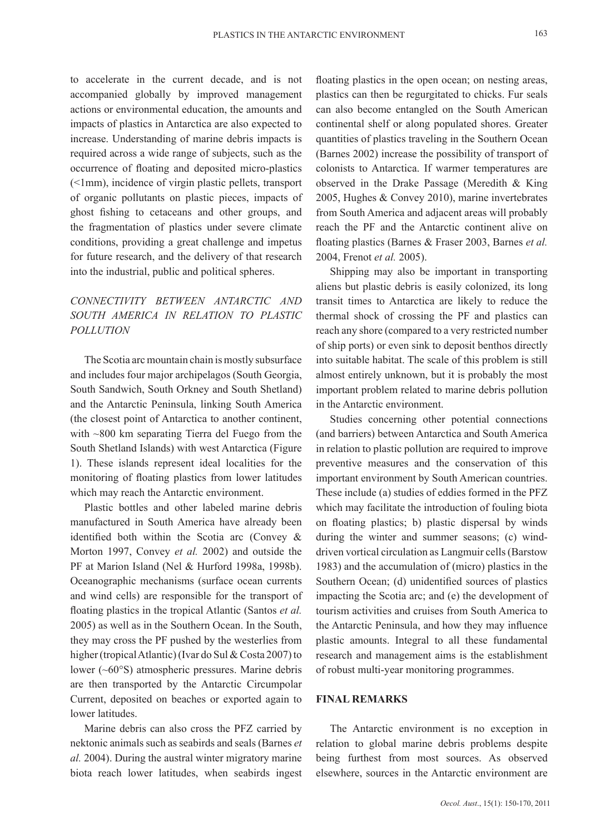to accelerate in the current decade, and is not accompanied globally by improved management actions or environmental education, the amounts and impacts of plastics in Antarctica are also expected to increase. Understanding of marine debris impacts is required across a wide range of subjects, such as the occurrence of floating and deposited micro-plastics (<1mm), incidence of virgin plastic pellets, transport of organic pollutants on plastic pieces, impacts of ghost fishing to cetaceans and other groups, and the fragmentation of plastics under severe climate conditions, providing a great challenge and impetus for future research, and the delivery of that research into the industrial, public and political spheres.

# *CONNECTIVITY BETWEEN ANTARCTIC AND SOUTH AMERICA IN RELATION TO PLASTIC POLLUTION*

The Scotia arc mountain chain is mostly subsurface and includes four major archipelagos (South Georgia, South Sandwich, South Orkney and South Shetland) and the Antarctic Peninsula, linking South America (the closest point of Antarctica to another continent, with ~800 km separating Tierra del Fuego from the South Shetland Islands) with west Antarctica (Figure 1). These islands represent ideal localities for the monitoring of floating plastics from lower latitudes which may reach the Antarctic environment.

Plastic bottles and other labeled marine debris manufactured in South America have already been identified both within the Scotia arc (Convey & Morton 1997, Convey *et al.* 2002) and outside the PF at Marion Island (Nel & Hurford 1998a, 1998b). Oceanographic mechanisms (surface ocean currents and wind cells) are responsible for the transport of floating plastics in the tropical Atlantic (Santos *et al.* 2005) as well as in the Southern Ocean. In the South, they may cross the PF pushed by the westerlies from higher (tropical Atlantic) (Ivar do Sul & Costa 2007) to lower (~60°S) atmospheric pressures. Marine debris are then transported by the Antarctic Circumpolar Current, deposited on beaches or exported again to lower latitudes.

Marine debris can also cross the PFZ carried by nektonic animals such as seabirds and seals (Barnes *et al.* 2004). During the austral winter migratory marine biota reach lower latitudes, when seabirds ingest

floating plastics in the open ocean; on nesting areas, plastics can then be regurgitated to chicks. Fur seals can also become entangled on the South American continental shelf or along populated shores. Greater quantities of plastics traveling in the Southern Ocean (Barnes 2002) increase the possibility of transport of colonists to Antarctica. If warmer temperatures are observed in the Drake Passage (Meredith & King 2005, Hughes & Convey 2010), marine invertebrates from South America and adjacent areas will probably reach the PF and the Antarctic continent alive on floating plastics (Barnes & Fraser 2003, Barnes *et al.* 2004, Frenot *et al.* 2005).

Shipping may also be important in transporting aliens but plastic debris is easily colonized, its long transit times to Antarctica are likely to reduce the thermal shock of crossing the PF and plastics can reach any shore (compared to a very restricted number of ship ports) or even sink to deposit benthos directly into suitable habitat. The scale of this problem is still almost entirely unknown, but it is probably the most important problem related to marine debris pollution in the Antarctic environment.

Studies concerning other potential connections (and barriers) between Antarctica and South America in relation to plastic pollution are required to improve preventive measures and the conservation of this important environment by South American countries. These include (a) studies of eddies formed in the PFZ which may facilitate the introduction of fouling biota on floating plastics; b) plastic dispersal by winds during the winter and summer seasons; (c) winddriven vortical circulation as Langmuir cells (Barstow 1983) and the accumulation of (micro) plastics in the Southern Ocean; (d) unidentified sources of plastics impacting the Scotia arc; and (e) the development of tourism activities and cruises from South America to the Antarctic Peninsula, and how they may influence plastic amounts. Integral to all these fundamental research and management aims is the establishment of robust multi-year monitoring programmes.

#### **FINAL REMARKS**

The Antarctic environment is no exception in relation to global marine debris problems despite being furthest from most sources. As observed elsewhere, sources in the Antarctic environment are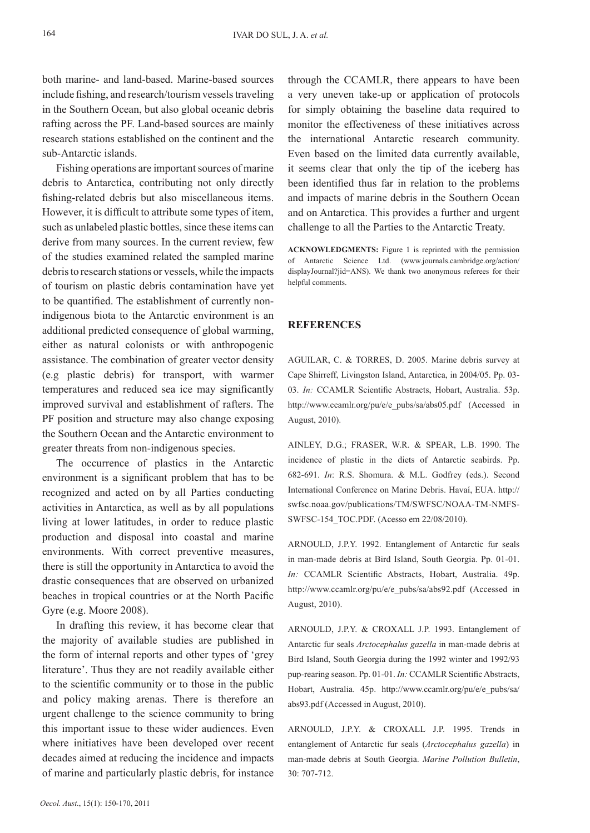both marine- and land-based. Marine-based sources include fishing, and research/tourism vessels traveling in the Southern Ocean, but also global oceanic debris rafting across the PF. Land-based sources are mainly research stations established on the continent and the sub-Antarctic islands.

Fishing operations are important sources of marine debris to Antarctica, contributing not only directly fishing-related debris but also miscellaneous items. However, it is difficult to attribute some types of item, such as unlabeled plastic bottles, since these items can derive from many sources. In the current review, few of the studies examined related the sampled marine debris to research stations or vessels, while the impacts of tourism on plastic debris contamination have yet to be quantified. The establishment of currently nonindigenous biota to the Antarctic environment is an additional predicted consequence of global warming, either as natural colonists or with anthropogenic assistance. The combination of greater vector density (e.g plastic debris) for transport, with warmer temperatures and reduced sea ice may significantly improved survival and establishment of rafters. The PF position and structure may also change exposing the Southern Ocean and the Antarctic environment to greater threats from non-indigenous species.

The occurrence of plastics in the Antarctic environment is a significant problem that has to be recognized and acted on by all Parties conducting activities in Antarctica, as well as by all populations living at lower latitudes, in order to reduce plastic production and disposal into coastal and marine environments. With correct preventive measures, there is still the opportunity in Antarctica to avoid the drastic consequences that are observed on urbanized beaches in tropical countries or at the North Pacific Gyre (e.g. Moore 2008).

In drafting this review, it has become clear that the majority of available studies are published in the form of internal reports and other types of 'grey literature'. Thus they are not readily available either to the scientific community or to those in the public and policy making arenas. There is therefore an urgent challenge to the science community to bring this important issue to these wider audiences. Even where initiatives have been developed over recent decades aimed at reducing the incidence and impacts of marine and particularly plastic debris, for instance

through the CCAMLR, there appears to have been a very uneven take-up or application of protocols for simply obtaining the baseline data required to monitor the effectiveness of these initiatives across the international Antarctic research community. Even based on the limited data currently available, it seems clear that only the tip of the iceberg has been identified thus far in relation to the problems and impacts of marine debris in the Southern Ocean and on Antarctica. This provides a further and urgent challenge to all the Parties to the Antarctic Treaty.

**ACKNOWLEDGMENTS:** Figure 1 is reprinted with the permission of Antarctic Science Ltd. (www.journals.cambridge.org/action/ displayJournal?jid=ANS). We thank two anonymous referees for their helpful comments.

#### **REFERENCES**

AGUILAR, C. & TORRES, D. 2005. Marine debris survey at Cape Shirreff, Livingston Island, Antarctica, in 2004/05. Pp. 03- 03. *In:* CCAMLR Scientific Abstracts, Hobart, Australia. 53p. http://www.ccamlr.org/pu/e/e\_pubs/sa/abs05.pdf (Accessed in August, 2010).

AINLEY, D.G.; FRASER, W.R. & SPEAR, L.B. 1990. The incidence of plastic in the diets of Antarctic seabirds. Pp. 682-691. *In*: R.S. Shomura. & M.L. Godfrey (eds.). Second International Conference on Marine Debris. Havaí, EUA. http:// swfsc.noaa.gov/publications/TM/SWFSC/NOAA-TM-NMFS-SWFSC-154\_TOC.PDF. (Acesso em 22/08/2010).

ARNOULD, J.P.Y. 1992. Entanglement of Antarctic fur seals in man-made debris at Bird Island, South Georgia. Pp. 01-01. *In:* CCAMLR Scientific Abstracts, Hobart, Australia. 49p. http://www.ccamlr.org/pu/e/e\_pubs/sa/abs92.pdf (Accessed in August, 2010).

ARNOULD, J.P.Y. & CROXALL J.P. 1993. Entanglement of Antarctic fur seals *Arctocephalus gazella* in man-made debris at Bird Island, South Georgia during the 1992 winter and 1992/93 pup-rearing season. Pp. 01-01. *In:* CCAMLR Scientific Abstracts, Hobart, Australia. 45p. http://www.ccamlr.org/pu/e/e\_pubs/sa/ abs93.pdf (Accessed in August, 2010).

ARNOULD, J.P.Y. & CROXALL J.P. 1995. Trends in entanglement of Antarctic fur seals (*Arctocephalus gazella*) in man-made debris at South Georgia. *Marine Pollution Bulletin*, 30: 707-712.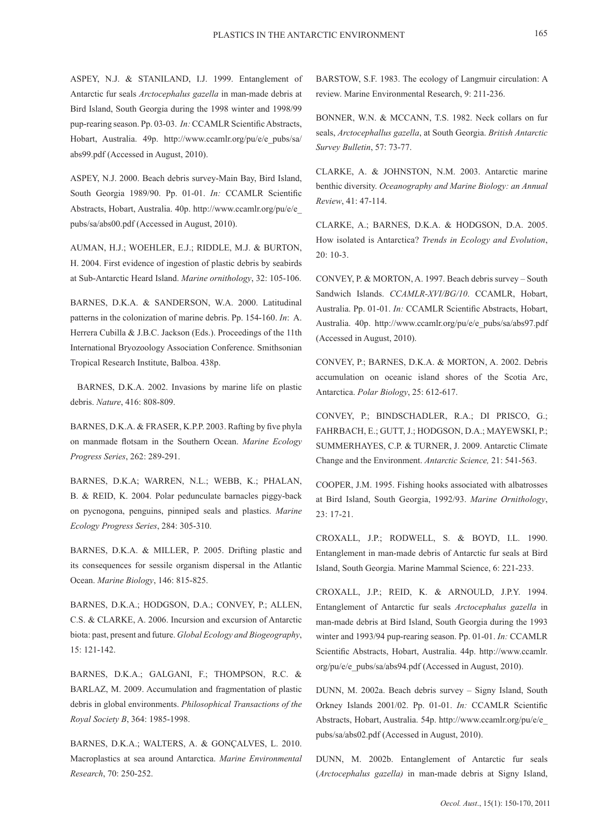ASPEY, N.J. & STANILAND, I.J. 1999. Entanglement of Antarctic fur seals *Arctocephalus gazella* in man-made debris at Bird Island, South Georgia during the 1998 winter and 1998/99 pup-rearing season. Pp. 03-03. *In:* CCAMLR Scientific Abstracts, Hobart, Australia. 49p. http://www.ccamlr.org/pu/e/e\_pubs/sa/ abs99.pdf (Accessed in August, 2010).

ASPEY, N.J. 2000. Beach debris survey-Main Bay, Bird Island, South Georgia 1989/90. Pp. 01-01. *In:* CCAMLR Scientific Abstracts, Hobart, Australia. 40p. http://www.ccamlr.org/pu/e/e\_ pubs/sa/abs00.pdf (Accessed in August, 2010).

AUMAN, H.J.; WOEHLER, E.J.; RIDDLE, M.J. & BURTON, H. 2004. First evidence of ingestion of plastic debris by seabirds at Sub-Antarctic Heard Island. *Marine ornithology*, 32: 105-106.

BARNES, D.K.A. & SANDERSON, W.A. 2000. Latitudinal patterns in the colonization of marine debris. Pp. 154-160. *In*: A. Herrera Cubilla & J.B.C. Jackson (Eds.). Proceedings of the 11th International Bryozoology Association Conference. Smithsonian Tropical Research Institute, Balboa. 438p.

BARNES, D.K.A. 2002. Invasions by marine life on plastic debris. *Nature*, 416: 808-809.

BARNES, D.K.A. & FRASER, K.P.P. 2003. Rafting by five phyla on manmade flotsam in the Southern Ocean. *Marine Ecology Progress Series*, 262: 289-291.

BARNES, D.K.A; WARREN, N.L.; WEBB, K.; PHALAN, B. & REID, K. 2004. Polar pedunculate barnacles piggy-back on pycnogona, penguins, pinniped seals and plastics. *Marine Ecology Progress Series*, 284: 305-310.

BARNES, D.K.A. & MILLER, P. 2005. Drifting plastic and its consequences for sessile organism dispersal in the Atlantic Ocean. *Marine Biology*, 146: 815-825.

BARNES, D.K.A.; HODGSON, D.A.; CONVEY, P.; ALLEN, C.S. & CLARKE, A. 2006. Incursion and excursion of Antarctic biota: past, present and future. *Global Ecology and Biogeography*, 15: 121-142.

BARNES, D.K.A.; GALGANI, F.; THOMPSON, R.C. & BARLAZ, M. 2009. Accumulation and fragmentation of plastic debris in global environments. *Philosophical Transactions of the Royal Society B*, 364: 1985-1998.

BARNES, D.K.A.; WALTERS, A. & GONÇALVES, L. 2010. Macroplastics at sea around Antarctica. *Marine Environmental Research*, 70: 250-252.

BARSTOW, S.F. 1983. The ecology of Langmuir circulation: A review. Marine Environmental Research, 9: 211-236.

BONNER, W.N. & MCCANN, T.S. 1982. Neck collars on fur seals, *Arctocephallus gazella*, at South Georgia. *British Antarctic Survey Bulletin*, 57: 73-77.

CLARKE, A. & JOHNSTON, N.M. 2003. Antarctic marine benthic diversity. *Oceanography and Marine Biology: an Annual Review*, 41: 47-114.

CLARKE, A.; BARNES, D.K.A. & HODGSON, D.A. 2005. How isolated is Antarctica? *Trends in Ecology and Evolution*, 20: 10-3.

CONVEY, P. & MORTON, A. 1997. Beach debris survey – South Sandwich Islands. *CCAMLR-XVI/BG/10*. CCAMLR, Hobart, Australia. Pp. 01-01. *In:* CCAMLR Scientific Abstracts, Hobart, Australia. 40p. http://www.ccamlr.org/pu/e/e\_pubs/sa/abs97.pdf (Accessed in August, 2010).

CONVEY, P.; BARNES, D.K.A. & MORTON, A. 2002. Debris accumulation on oceanic island shores of the Scotia Arc, Antarctica. *Polar Biology*, 25: 612-617.

CONVEY, P.; BINDSCHADLER, R.A.; DI PRISCO, G.; FAHRBACH, E.; GUTT, J.; HODGSON, D.A.; MAYEWSKI, P.; SUMMERHAYES, C.P. & TURNER, J. 2009. Antarctic Climate Change and the Environment. *Antarctic Science,* 21: 541-563.

COOPER, J.M. 1995. Fishing hooks associated with albatrosses at Bird Island, South Georgia, 1992/93. *Marine Ornithology*, 23: 17-21.

CROXALL, J.P.; RODWELL, S. & BOYD, I.L. 1990. Entanglement in man-made debris of Antarctic fur seals at Bird Island, South Georgia. Marine Mammal Science, 6: 221-233.

CROXALL, J.P.; REID, K. & ARNOULD, J.P.Y. 1994. Entanglement of Antarctic fur seals *Arctocephalus gazella* in man-made debris at Bird Island, South Georgia during the 1993 winter and 1993/94 pup-rearing season. Pp. 01-01. *In:* CCAMLR Scientific Abstracts, Hobart, Australia. 44p. http://www.ccamlr. org/pu/e/e\_pubs/sa/abs94.pdf (Accessed in August, 2010).

DUNN, M. 2002a. Beach debris survey – Signy Island, South Orkney Islands 2001/02. Pp. 01-01. *In:* CCAMLR Scientific Abstracts, Hobart, Australia. 54p. http://www.ccamlr.org/pu/e/e\_ pubs/sa/abs02.pdf (Accessed in August, 2010).

DUNN, M. 2002b. Entanglement of Antarctic fur seals (*Arctocephalus gazella)* in man-made debris at Signy Island,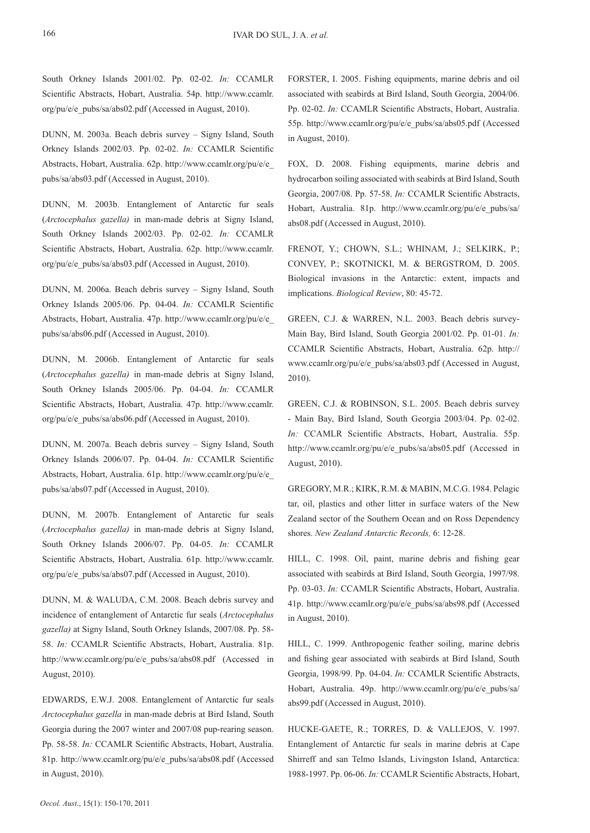South Orkney Islands 2001/02. Pp. 02-02. *In:* CCAMLR Scientific Abstracts, Hobart, Australia. 54p. http://www.ccamlr. org/pu/e/e\_pubs/sa/abs02.pdf (Accessed in August, 2010).

DUNN, M. 2003a. Beach debris survey – Signy Island, South Orkney Islands 2002/03. Pp. 02-02. *In:* CCAMLR Scientific Abstracts, Hobart, Australia. 62p. http://www.ccamlr.org/pu/e/e\_ pubs/sa/abs03.pdf (Accessed in August, 2010).

DUNN, M. 2003b. Entanglement of Antarctic fur seals (*Arctocephalus gazella)* in man-made debris at Signy Island, South Orkney Islands 2002/03. Pp. 02-02. *In:* CCAMLR Scientific Abstracts, Hobart, Australia. 62p. http://www.ccamlr. org/pu/e/e\_pubs/sa/abs03.pdf (Accessed in August, 2010).

DUNN, M. 2006a. Beach debris survey – Signy Island, South Orkney Islands 2005/06. Pp. 04-04. *In:* CCAMLR Scientific Abstracts, Hobart, Australia. 47p. http://www.ccamlr.org/pu/e/e\_ pubs/sa/abs06.pdf (Accessed in August, 2010).

DUNN, M. 2006b. Entanglement of Antarctic fur seals (*Arctocephalus gazella)* in man-made debris at Signy Island, South Orkney Islands 2005/06. Pp. 04-04. *In:* CCAMLR Scientific Abstracts, Hobart, Australia. 47p. http://www.ccamlr. org/pu/e/e\_pubs/sa/abs06.pdf (Accessed in August, 2010).

DUNN, M. 2007a. Beach debris survey – Signy Island, South Orkney Islands 2006/07. Pp. 04-04. *In:* CCAMLR Scientific Abstracts, Hobart, Australia. 61p. http://www.ccamlr.org/pu/e/e\_ pubs/sa/abs07.pdf (Accessed in August, 2010).

DUNN, M. 2007b. Entanglement of Antarctic fur seals (*Arctocephalus gazella)* in man-made debris at Signy Island, South Orkney Islands 2006/07. Pp. 04-05. *In:* CCAMLR Scientific Abstracts, Hobart, Australia. 61p. http://www.ccamlr. org/pu/e/e\_pubs/sa/abs07.pdf (Accessed in August, 2010).

DUNN, M. & WALUDA, C.M. 2008. Beach debris survey and incidence of entanglement of Antarctic fur seals (*Arctocephalus gazella)* at Signy Island, South Orkney Islands, 2007/08. Pp. 58- 58. *In:* CCAMLR Scientific Abstracts, Hobart, Australia. 81p. http://www.ccamlr.org/pu/e/e\_pubs/sa/abs08.pdf (Accessed in August, 2010).

EDWARDS, E.W.J. 2008. Entanglement of Antarctic fur seals *Arctocephalus gazella* in man-made debris at Bird Island, South Georgia during the 2007 winter and 2007/08 pup-rearing season. Pp. 58-58. *In:* CCAMLR Scientific Abstracts, Hobart, Australia. 81p. http://www.ccamlr.org/pu/e/e\_pubs/sa/abs08.pdf (Accessed in August, 2010).

FORSTER, I. 2005. Fishing equipments, marine debris and oil associated with seabirds at Bird Island, South Georgia, 2004/06. Pp. 02-02. *In:* CCAMLR Scientific Abstracts, Hobart, Australia. 55p. http://www.ccamlr.org/pu/e/e\_pubs/sa/abs05.pdf (Accessed in August, 2010).

FOX, D. 2008. Fishing equipments, marine debris and hydrocarbon soiling associated with seabirds at Bird Island, South Georgia, 2007/08. Pp. 57-58. *In:* CCAMLR Scientific Abstracts, Hobart, Australia. 81p. http://www.ccamlr.org/pu/e/e\_pubs/sa/ abs08.pdf (Accessed in August, 2010).

FRENOT, Y.; CHOWN, S.L.; WHINAM, J.; SELKIRK, P.; CONVEY, P.; SKOTNICKI, M. & BERGSTROM, D. 2005. Biological invasions in the Antarctic: extent, impacts and implications. *Biological Review*, 80: 45-72.

GREEN, C.J. & WARREN, N.L. 2003. Beach debris survey-Main Bay, Bird Island, South Georgia 2001/02. Pp. 01-01. *In:*  CCAMLR Scientific Abstracts, Hobart, Australia. 62p. http:// www.ccamlr.org/pu/e/e\_pubs/sa/abs03.pdf (Accessed in August, 2010).

GREEN, C.J. & ROBINSON, S.L. 2005. Beach debris survey - Main Bay, Bird Island, South Georgia 2003/04. Pp. 02-02. *In:* CCAMLR Scientific Abstracts, Hobart, Australia. 55p. http://www.ccamlr.org/pu/e/e\_pubs/sa/abs05.pdf (Accessed in August, 2010).

GREGORY, M.R.; KIRK, R.M. & MABIN, M.C.G. 1984. Pelagic tar, oil, plastics and other litter in surface waters of the New Zealand sector of the Southern Ocean and on Ross Dependency shores. *New Zealand Antarctic Records,* 6: 12-28.

HILL, C. 1998. Oil, paint, marine debris and fishing gear associated with seabirds at Bird Island, South Georgia, 1997/98. Pp. 03-03. *In:* CCAMLR Scientific Abstracts, Hobart, Australia. 41p. http://www.ccamlr.org/pu/e/e\_pubs/sa/abs98.pdf (Accessed in August, 2010).

HILL, C. 1999. Anthropogenic feather soiling, marine debris and fishing gear associated with seabirds at Bird Island, South Georgia, 1998/99. Pp. 04-04. *In:* CCAMLR Scientific Abstracts, Hobart, Australia. 49p. http://www.ccamlr.org/pu/e/e\_pubs/sa/ abs99.pdf (Accessed in August, 2010).

HUCKE-GAETE, R.; TORRES, D. & VALLEJOS, V. 1997. Entanglement of Antarctic fur seals in marine debris at Cape Shirreff and san Telmo Islands, Livingston Island, Antarctica: 1988-1997. Pp. 06-06. *In:* CCAMLR Scientific Abstracts, Hobart,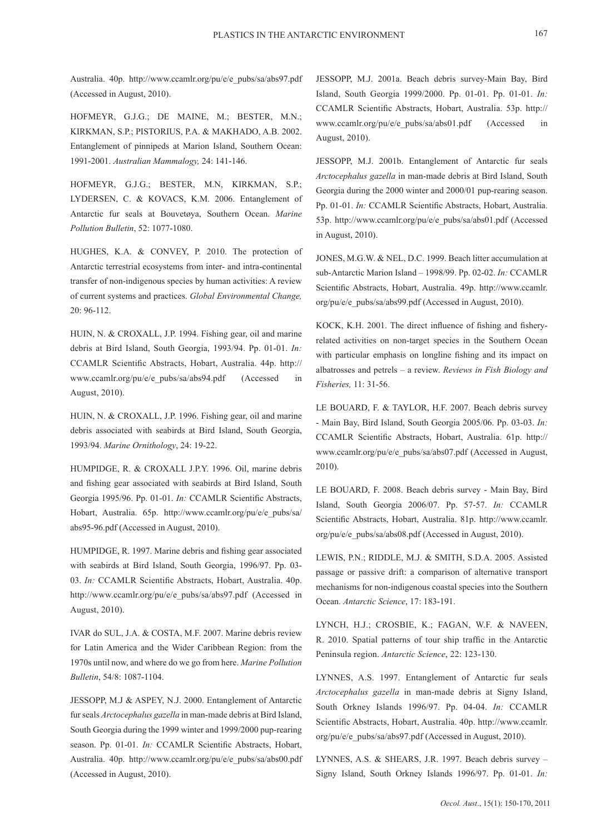Australia. 40p. http://www.ccamlr.org/pu/e/e\_pubs/sa/abs97.pdf (Accessed in August, 2010).

HOFMEYR, G.J.G.; DE MAINE, M.; BESTER, M.N.; KIRKMAN, S.P.; PISTORIUS, P.A. & MAKHADO, A.B. 2002. Entanglement of pinnipeds at Marion Island, Southern Ocean: 1991-2001. *Australian Mammalogy,* 24: 141-146.

HOFMEYR, G.J.G.; BESTER, M.N, KIRKMAN, S.P.; LYDERSEN, C. & KOVACS, K.M. 2006. Entanglement of Antarctic fur seals at Bouvetøya, Southern Ocean. *Marine Pollution Bulletin*, 52: 1077-1080.

HUGHES, K.A. & CONVEY, P. 2010. The protection of Antarctic terrestrial ecosystems from inter- and intra-continental transfer of non-indigenous species by human activities: A review of current systems and practices. *Global Environmental Change,*  20: 96-112.

HUIN, N. & CROXALL, J.P. 1994. Fishing gear, oil and marine debris at Bird Island, South Georgia, 1993/94. Pp. 01-01. *In:*  CCAMLR Scientific Abstracts, Hobart, Australia. 44p. http:// www.ccamlr.org/pu/e/e\_pubs/sa/abs94.pdf (Accessed in August, 2010).

HUIN, N. & CROXALL, J.P. 1996. Fishing gear, oil and marine debris associated with seabirds at Bird Island, South Georgia, 1993/94. *Marine Ornithology*, 24: 19-22.

HUMPIDGE, R. & CROXALL J.P.Y. 1996. Oil, marine debris and fishing gear associated with seabirds at Bird Island, South Georgia 1995/96. Pp. 01-01. *In:* CCAMLR Scientific Abstracts, Hobart, Australia. 65p. http://www.ccamlr.org/pu/e/e\_pubs/sa/ abs95-96.pdf (Accessed in August, 2010).

HUMPIDGE, R. 1997. Marine debris and fishing gear associated with seabirds at Bird Island, South Georgia, 1996/97. Pp. 03- 03. *In:* CCAMLR Scientific Abstracts, Hobart, Australia. 40p. http://www.ccamlr.org/pu/e/e\_pubs/sa/abs97.pdf (Accessed in August, 2010).

IVAR do SUL, J.A. & COSTA, M.F. 2007. Marine debris review for Latin America and the Wider Caribbean Region: from the 1970s until now, and where do we go from here. *Marine Pollution Bulletin*, 54/8: 1087-1104.

JESSOPP, M.J & ASPEY, N.J. 2000. Entanglement of Antarctic fur seals *Arctocephalus gazella* in man-made debris at Bird Island, South Georgia during the 1999 winter and 1999/2000 pup-rearing season. Pp. 01-01. *In:* CCAMLR Scientific Abstracts, Hobart, Australia. 40p. http://www.ccamlr.org/pu/e/e\_pubs/sa/abs00.pdf (Accessed in August, 2010).

JESSOPP, M.J. 2001a. Beach debris survey-Main Bay, Bird Island, South Georgia 1999/2000. Pp. 01-01. Pp. 01-01. *In:*  CCAMLR Scientific Abstracts, Hobart, Australia. 53p. http:// www.ccamlr.org/pu/e/e\_pubs/sa/abs01.pdf (Accessed in August, 2010).

JESSOPP, M.J. 2001b. Entanglement of Antarctic fur seals *Arctocephalus gazella* in man-made debris at Bird Island, South Georgia during the 2000 winter and 2000/01 pup-rearing season. Pp. 01-01. *In:* CCAMLR Scientific Abstracts, Hobart, Australia. 53p. http://www.ccamlr.org/pu/e/e\_pubs/sa/abs01.pdf (Accessed in August, 2010).

JONES, M.G.W. & NEL, D.C. 1999. Beach litter accumulation at sub-Antarctic Marion Island – 1998/99. Pp. 02-02. *In:* CCAMLR Scientific Abstracts, Hobart, Australia. 49p. http://www.ccamlr. org/pu/e/e\_pubs/sa/abs99.pdf (Accessed in August, 2010).

KOCK, K.H. 2001. The direct influence of fishing and fisheryrelated activities on non-target species in the Southern Ocean with particular emphasis on longline fishing and its impact on albatrosses and petrels – a review. *Reviews in Fish Biology and Fisheries,* 11: 31-56.

LE BOUARD, F. & TAYLOR, H.F. 2007. Beach debris survey - Main Bay, Bird Island, South Georgia 2005/06. Pp. 03-03. *In:*  CCAMLR Scientific Abstracts, Hobart, Australia. 61p. http:// www.ccamlr.org/pu/e/e\_pubs/sa/abs07.pdf (Accessed in August, 2010).

LE BOUARD, F. 2008. Beach debris survey - Main Bay, Bird Island, South Georgia 2006/07. Pp. 57-57. *In:* CCAMLR Scientific Abstracts, Hobart, Australia. 81p. http://www.ccamlr. org/pu/e/e\_pubs/sa/abs08.pdf (Accessed in August, 2010).

LEWIS, P.N.; RIDDLE, M.J. & SMITH, S.D.A. 2005. Assisted passage or passive drift: a comparison of alternative transport mechanisms for non-indigenous coastal species into the Southern Ocean. *Antarctic Science*, 17: 183-191.

LYNCH, H.J.; CROSBIE, K.; FAGAN, W.F. & NAVEEN, R. 2010. Spatial patterns of tour ship traffic in the Antarctic Peninsula region. *Antarctic Science*, 22: 123-130.

LYNNES, A.S. 1997. Entanglement of Antarctic fur seals *Arctocephalus gazella* in man-made debris at Signy Island, South Orkney Islands 1996/97. Pp. 04-04. *In:* CCAMLR Scientific Abstracts, Hobart, Australia. 40p. http://www.ccamlr. org/pu/e/e\_pubs/sa/abs97.pdf (Accessed in August, 2010).

LYNNES, A.S. & SHEARS, J.R. 1997. Beach debris survey – Signy Island, South Orkney Islands 1996/97. Pp. 01-01. *In:*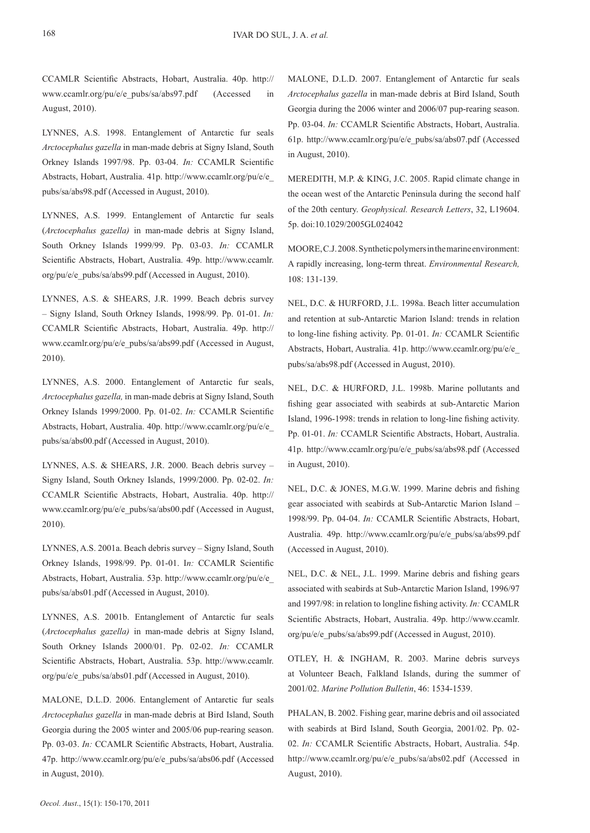CCAMLR Scientific Abstracts, Hobart, Australia. 40p. http:// www.ccamlr.org/pu/e/e\_pubs/sa/abs97.pdf (Accessed in August, 2010).

LYNNES, A.S. 1998. Entanglement of Antarctic fur seals *Arctocephalus gazella* in man-made debris at Signy Island, South Orkney Islands 1997/98. Pp. 03-04. *In:* CCAMLR Scientific Abstracts, Hobart, Australia. 41p. http://www.ccamlr.org/pu/e/e\_ pubs/sa/abs98.pdf (Accessed in August, 2010).

LYNNES, A.S. 1999. Entanglement of Antarctic fur seals (*Arctocephalus gazella)* in man-made debris at Signy Island, South Orkney Islands 1999/99. Pp. 03-03. *In:* CCAMLR Scientific Abstracts, Hobart, Australia. 49p. http://www.ccamlr. org/pu/e/e\_pubs/sa/abs99.pdf (Accessed in August, 2010).

LYNNES, A.S. & SHEARS, J.R. 1999. Beach debris survey – Signy Island, South Orkney Islands, 1998/99. Pp. 01-01. *In:*  CCAMLR Scientific Abstracts, Hobart, Australia. 49p. http:// www.ccamlr.org/pu/e/e\_pubs/sa/abs99.pdf (Accessed in August, 2010).

LYNNES, A.S. 2000. Entanglement of Antarctic fur seals, *Arctocephalus gazella,* in man-made debris at Signy Island, South Orkney Islands 1999/2000. Pp. 01-02. *In:* CCAMLR Scientific Abstracts, Hobart, Australia. 40p. http://www.ccamlr.org/pu/e/e\_ pubs/sa/abs00.pdf (Accessed in August, 2010).

LYNNES, A.S. & SHEARS, J.R. 2000. Beach debris survey – Signy Island, South Orkney Islands, 1999/2000. Pp. 02-02. *In:*  CCAMLR Scientific Abstracts, Hobart, Australia. 40p. http:// www.ccamlr.org/pu/e/e\_pubs/sa/abs00.pdf (Accessed in August, 2010).

LYNNES, A.S. 2001a. Beach debris survey – Signy Island, South Orkney Islands, 1998/99. Pp. 01-01. I*n:* CCAMLR Scientific Abstracts, Hobart, Australia. 53p. http://www.ccamlr.org/pu/e/e\_ pubs/sa/abs01.pdf (Accessed in August, 2010).

LYNNES, A.S. 2001b. Entanglement of Antarctic fur seals (*Arctocephalus gazella)* in man-made debris at Signy Island, South Orkney Islands 2000/01. Pp. 02-02. *In:* CCAMLR Scientific Abstracts, Hobart, Australia. 53p. http://www.ccamlr. org/pu/e/e\_pubs/sa/abs01.pdf (Accessed in August, 2010).

MALONE, D.L.D. 2006. Entanglement of Antarctic fur seals *Arctocephalus gazella* in man-made debris at Bird Island, South Georgia during the 2005 winter and 2005/06 pup-rearing season. Pp. 03-03. *In:* CCAMLR Scientific Abstracts, Hobart, Australia. 47p. http://www.ccamlr.org/pu/e/e\_pubs/sa/abs06.pdf (Accessed in August, 2010).

MALONE, D.L.D. 2007. Entanglement of Antarctic fur seals *Arctocephalus gazella* in man-made debris at Bird Island, South Georgia during the 2006 winter and 2006/07 pup-rearing season. Pp. 03-04. *In:* CCAMLR Scientific Abstracts, Hobart, Australia. 61p. http://www.ccamlr.org/pu/e/e\_pubs/sa/abs07.pdf (Accessed in August, 2010).

MEREDITH, M.P. & KING, J.C. 2005. Rapid climate change in the ocean west of the Antarctic Peninsula during the second half of the 20th century. *Geophysical. Research Letters*, 32, L19604. 5p. doi:10.1029/2005GL024042

MOORE, C.J. 2008. Synthetic polymers in the marine environment: A rapidly increasing, long-term threat. *Environmental Research,* 108: 131-139.

NEL, D.C. & HURFORD, J.L. 1998a. Beach litter accumulation and retention at sub-Antarctic Marion Island: trends in relation to long-line fishing activity. Pp. 01-01. *In:* CCAMLR Scientific Abstracts, Hobart, Australia. 41p. http://www.ccamlr.org/pu/e/e\_ pubs/sa/abs98.pdf (Accessed in August, 2010).

NEL, D.C. & HURFORD, J.L. 1998b. Marine pollutants and fishing gear associated with seabirds at sub-Antarctic Marion Island, 1996-1998: trends in relation to long-line fishing activity. Pp. 01-01. *In:* CCAMLR Scientific Abstracts, Hobart, Australia. 41p. http://www.ccamlr.org/pu/e/e\_pubs/sa/abs98.pdf (Accessed in August, 2010).

NEL, D.C. & JONES, M.G.W. 1999. Marine debris and fishing gear associated with seabirds at Sub-Antarctic Marion Island – 1998/99. Pp. 04-04. *In:* CCAMLR Scientific Abstracts, Hobart, Australia. 49p. http://www.ccamlr.org/pu/e/e\_pubs/sa/abs99.pdf (Accessed in August, 2010).

NEL, D.C. & NEL, J.L. 1999. Marine debris and fishing gears associated with seabirds at Sub-Antarctic Marion Island, 1996/97 and 1997/98: in relation to longline fishing activity. *In:* CCAMLR Scientific Abstracts, Hobart, Australia. 49p. http://www.ccamlr. org/pu/e/e\_pubs/sa/abs99.pdf (Accessed in August, 2010).

OTLEY, H. & INGHAM, R. 2003. Marine debris surveys at Volunteer Beach, Falkland Islands, during the summer of 2001/02. *Marine Pollution Bulletin*, 46: 1534-1539.

PHALAN, B. 2002. Fishing gear, marine debris and oil associated with seabirds at Bird Island, South Georgia, 2001/02. Pp. 02- 02. *In:* CCAMLR Scientific Abstracts, Hobart, Australia. 54p. http://www.ccamlr.org/pu/e/e\_pubs/sa/abs02.pdf (Accessed in August, 2010).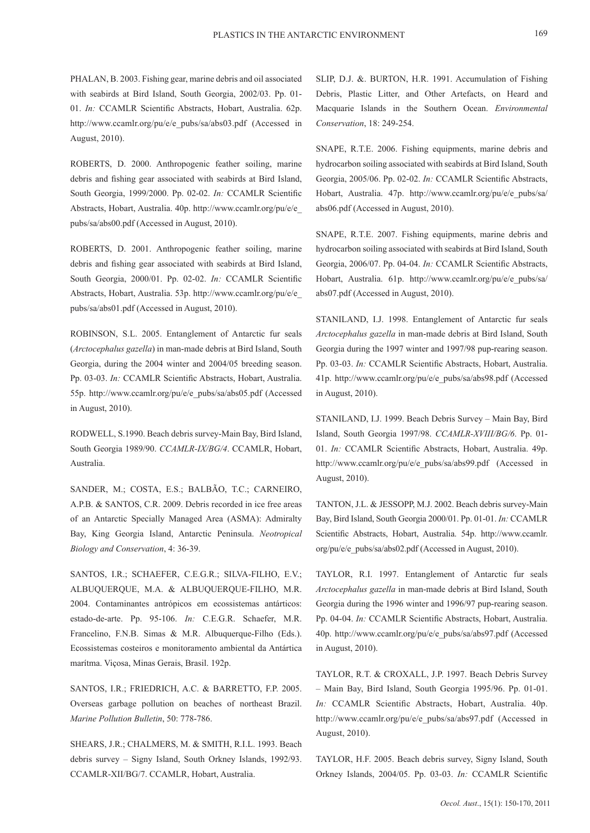PHALAN, B. 2003. Fishing gear, marine debris and oil associated with seabirds at Bird Island, South Georgia, 2002/03. Pp. 01- 01. *In:* CCAMLR Scientific Abstracts, Hobart, Australia. 62p. http://www.ccamlr.org/pu/e/e\_pubs/sa/abs03.pdf (Accessed in August, 2010).

ROBERTS, D. 2000. Anthropogenic feather soiling, marine debris and fishing gear associated with seabirds at Bird Island, South Georgia, 1999/2000. Pp. 02-02. *In:* CCAMLR Scientific Abstracts, Hobart, Australia. 40p. http://www.ccamlr.org/pu/e/e\_ pubs/sa/abs00.pdf (Accessed in August, 2010).

ROBERTS, D. 2001. Anthropogenic feather soiling, marine debris and fishing gear associated with seabirds at Bird Island, South Georgia, 2000/01. Pp. 02-02. *In:* CCAMLR Scientific Abstracts, Hobart, Australia. 53p. http://www.ccamlr.org/pu/e/e\_ pubs/sa/abs01.pdf (Accessed in August, 2010).

ROBINSON, S.L. 2005. Entanglement of Antarctic fur seals (*Arctocephalus gazella*) in man-made debris at Bird Island, South Georgia, during the 2004 winter and 2004/05 breeding season. Pp. 03-03. *In:* CCAMLR Scientific Abstracts, Hobart, Australia. 55p. http://www.ccamlr.org/pu/e/e\_pubs/sa/abs05.pdf (Accessed in August, 2010).

RODWELL, S.1990. Beach debris survey-Main Bay, Bird Island, South Georgia 1989/90. *CCAMLR-IX/BG/4*. CCAMLR, Hobart, Australia.

SANDER, M.; COSTA, E.S.; BALBÃO, T.C.; CARNEIRO, A.P.B. & SANTOS, C.R. 2009. Debris recorded in ice free areas of an Antarctic Specially Managed Area (ASMA): Admiralty Bay, King Georgia Island, Antarctic Peninsula. *Neotropical Biology and Conservation*, 4: 36-39.

SANTOS, I.R.; SCHAEFER, C.E.G.R.; SILVA-FILHO, E.V.; ALBUQUERQUE, M.A. & ALBUQUERQUE-FILHO, M.R. 2004. Contaminantes antrópicos em ecossistemas antárticos: estado-de-arte. Pp. 95-106. *In:* C.E.G.R. Schaefer, M.R. Francelino, F.N.B. Simas & M.R. Albuquerque-Filho (Eds.). Ecossistemas costeiros e monitoramento ambiental da Antártica marítma. Viçosa, Minas Gerais, Brasil. 192p.

SANTOS, I.R.; FRIEDRICH, A.C. & BARRETTO, F.P. 2005. Overseas garbage pollution on beaches of northeast Brazil. *Marine Pollution Bulletin*, 50: 778-786.

SHEARS, J.R.; CHALMERS, M. & SMITH, R.I.L. 1993. Beach debris survey – Signy Island, South Orkney Islands, 1992/93. CCAMLR-XII/BG/7. CCAMLR, Hobart, Australia.

SLIP, D.J. &. BURTON, H.R. 1991. Accumulation of Fishing Debris, Plastic Litter, and Other Artefacts, on Heard and Macquarie Islands in the Southern Ocean. *Environmental Conservation*, 18: 249-254.

SNAPE, R.T.E. 2006. Fishing equipments, marine debris and hydrocarbon soiling associated with seabirds at Bird Island, South Georgia, 2005/06. Pp. 02-02. *In:* CCAMLR Scientific Abstracts, Hobart, Australia. 47p. http://www.ccamlr.org/pu/e/e\_pubs/sa/ abs06.pdf (Accessed in August, 2010).

SNAPE, R.T.E. 2007. Fishing equipments, marine debris and hydrocarbon soiling associated with seabirds at Bird Island, South Georgia, 2006/07. Pp. 04-04. *In:* CCAMLR Scientific Abstracts, Hobart, Australia. 61p. http://www.ccamlr.org/pu/e/e\_pubs/sa/ abs07.pdf (Accessed in August, 2010).

STANILAND, I.J. 1998. Entanglement of Antarctic fur seals *Arctocephalus gazella* in man-made debris at Bird Island, South Georgia during the 1997 winter and 1997/98 pup-rearing season. Pp. 03-03. *In:* CCAMLR Scientific Abstracts, Hobart, Australia. 41p. http://www.ccamlr.org/pu/e/e\_pubs/sa/abs98.pdf (Accessed in August, 2010).

STANILAND, I.J. 1999. Beach Debris Survey – Main Bay, Bird Island, South Georgia 1997/98. *CCAMLR-XVIII/BG/6*. Pp. 01- 01. *In:* CCAMLR Scientific Abstracts, Hobart, Australia. 49p. http://www.ccamlr.org/pu/e/e\_pubs/sa/abs99.pdf (Accessed in August, 2010).

TANTON, J.L. & JESSOPP, M.J. 2002. Beach debris survey-Main Bay, Bird Island, South Georgia 2000/01. Pp. 01-01. *In:* CCAMLR Scientific Abstracts, Hobart, Australia. 54p. http://www.ccamlr. org/pu/e/e\_pubs/sa/abs02.pdf (Accessed in August, 2010).

TAYLOR, R.I. 1997. Entanglement of Antarctic fur seals *Arctocephalus gazella* in man-made debris at Bird Island, South Georgia during the 1996 winter and 1996/97 pup-rearing season. Pp. 04-04. *In:* CCAMLR Scientific Abstracts, Hobart, Australia. 40p. http://www.ccamlr.org/pu/e/e\_pubs/sa/abs97.pdf (Accessed in August, 2010).

TAYLOR, R.T. & CROXALL, J.P. 1997. Beach Debris Survey – Main Bay, Bird Island, South Georgia 1995/96. Pp. 01-01. *In:* CCAMLR Scientific Abstracts, Hobart, Australia. 40p. http://www.ccamlr.org/pu/e/e\_pubs/sa/abs97.pdf (Accessed in August, 2010).

TAYLOR, H.F. 2005. Beach debris survey, Signy Island, South Orkney Islands, 2004/05. Pp. 03-03. *In:* CCAMLR Scientific

169